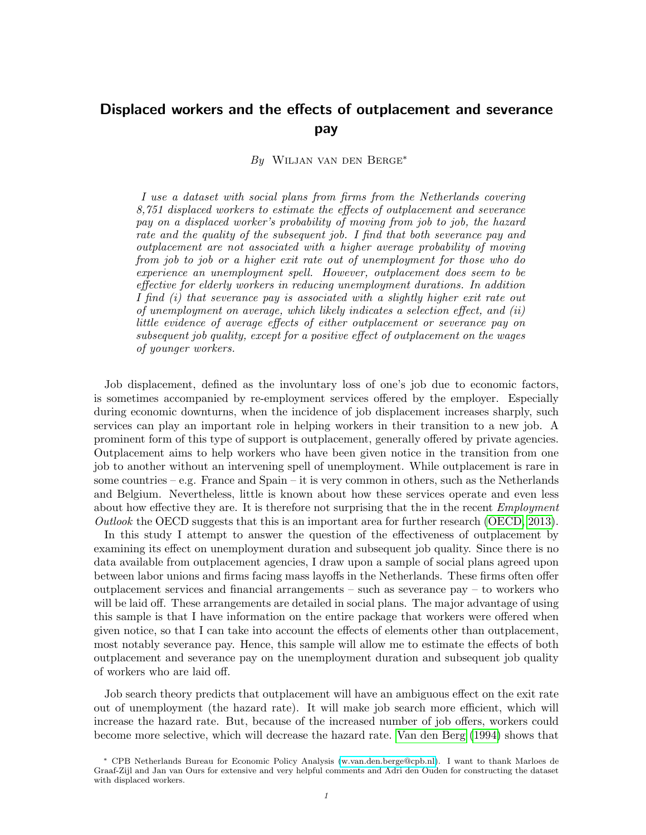# Displaced workers and the effects of outplacement and severance pay

By Wiljan van den Berge<sup>∗</sup>

I use a dataset with social plans from firms from the Netherlands covering 8,751 displaced workers to estimate the effects of outplacement and severance pay on a displaced worker's probability of moving from job to job, the hazard rate and the quality of the subsequent job. I find that both severance pay and outplacement are not associated with a higher average probability of moving from job to job or a higher exit rate out of unemployment for those who do experience an unemployment spell. However, outplacement does seem to be effective for elderly workers in reducing unemployment durations. In addition I find (i) that severance pay is associated with a slightly higher exit rate out of unemployment on average, which likely indicates a selection effect, and (ii) little evidence of average effects of either outplacement or severance pay on subsequent job quality, except for a positive effect of outplacement on the wages of younger workers.

Job displacement, defined as the involuntary loss of one's job due to economic factors, is sometimes accompanied by re-employment services offered by the employer. Especially during economic downturns, when the incidence of job displacement increases sharply, such services can play an important role in helping workers in their transition to a new job. A prominent form of this type of support is outplacement, generally offered by private agencies. Outplacement aims to help workers who have been given notice in the transition from one job to another without an intervening spell of unemployment. While outplacement is rare in some countries – e.g. France and Spain – it is very common in others, such as the Netherlands and Belgium. Nevertheless, little is known about how these services operate and even less about how effective they are. It is therefore not surprising that the in the recent *Employment* Outlook the OECD suggests that this is an important area for further research [\(OECD, 2013\)](#page-28-0).

In this study I attempt to answer the question of the effectiveness of outplacement by examining its effect on unemployment duration and subsequent job quality. Since there is no data available from outplacement agencies, I draw upon a sample of social plans agreed upon between labor unions and firms facing mass layoffs in the Netherlands. These firms often offer outplacement services and financial arrangements – such as severance pay – to workers who will be laid off. These arrangements are detailed in social plans. The major advantage of using this sample is that I have information on the entire package that workers were offered when given notice, so that I can take into account the effects of elements other than outplacement, most notably severance pay. Hence, this sample will allow me to estimate the effects of both outplacement and severance pay on the unemployment duration and subsequent job quality of workers who are laid off.

Job search theory predicts that outplacement will have an ambiguous effect on the exit rate out of unemployment (the hazard rate). It will make job search more efficient, which will increase the hazard rate. But, because of the increased number of job offers, workers could become more selective, which will decrease the hazard rate. [Van den Berg](#page-28-1) [\(1994\)](#page-28-1) shows that

<sup>∗</sup> CPB Netherlands Bureau for Economic Policy Analysis [\(w.van.den.berge@cpb.nl\)](mailto:w.van.den.berge@cpb.nl). I want to thank Marloes de Graaf-Zijl and Jan van Ours for extensive and very helpful comments and Adri den Ouden for constructing the dataset with displaced workers.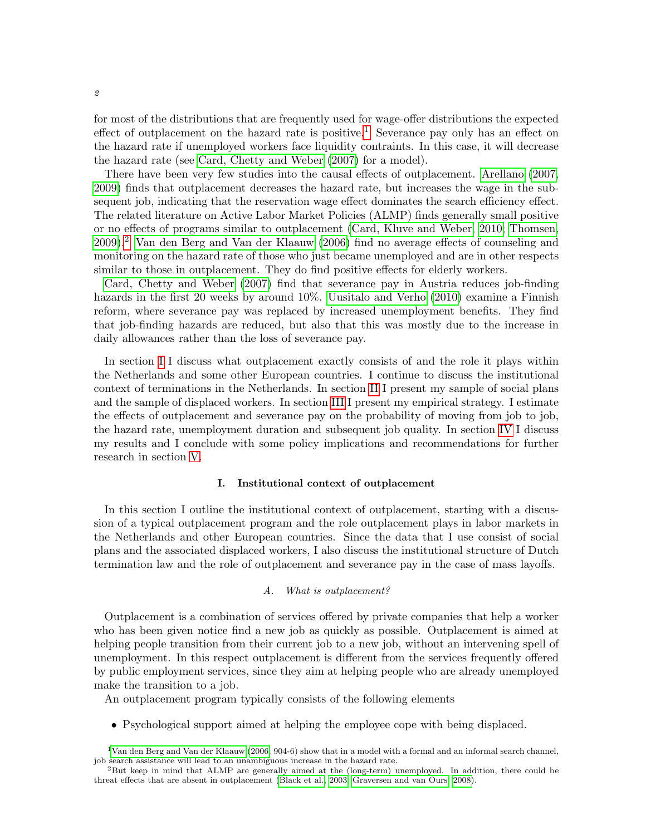for most of the distributions that are frequently used for wage-offer distributions the expected effect of outplacement on the hazard rate is positive.<sup>[1](#page-1-0)</sup> Severance pay only has an effect on the hazard rate if unemployed workers face liquidity contraints. In this case, it will decrease the hazard rate (see [Card, Chetty and Weber](#page-28-2) [\(2007\)](#page-28-2) for a model).

There have been very few studies into the causal effects of outplacement. [Arellano](#page-27-0) [\(2007,](#page-27-0) [2009\)](#page-27-1) finds that outplacement decreases the hazard rate, but increases the wage in the subsequent job, indicating that the reservation wage effect dominates the search efficiency effect. The related literature on Active Labor Market Policies (ALMP) finds generally small positive or no effects of programs similar to outplacement [\(Card, Kluve and Weber, 2010;](#page-28-3) [Thomsen,](#page-28-4) [2009\)](#page-28-4).[2](#page-1-1) [Van den Berg and Van der Klaauw](#page-29-0) [\(2006\)](#page-29-0) find no average effects of counseling and monitoring on the hazard rate of those who just became unemployed and are in other respects similar to those in outplacement. They do find positive effects for elderly workers.

[Card, Chetty and Weber](#page-28-2) [\(2007\)](#page-28-2) find that severance pay in Austria reduces job-finding hazards in the first 20 weeks by around 10%. [Uusitalo and Verho](#page-28-5) [\(2010\)](#page-28-5) examine a Finnish reform, where severance pay was replaced by increased unemployment benefits. They find that job-finding hazards are reduced, but also that this was mostly due to the increase in daily allowances rather than the loss of severance pay.

In section [I](#page-1-2) I discuss what outplacement exactly consists of and the role it plays within the Netherlands and some other European countries. I continue to discuss the institutional context of terminations in the Netherlands. In section [II](#page-4-0) I present my sample of social plans and the sample of displaced workers. In section [III](#page-7-0) I present my empirical strategy. I estimate the effects of outplacement and severance pay on the probability of moving from job to job, the hazard rate, unemployment duration and subsequent job quality. In section [IV](#page-11-0) I discuss my results and I conclude with some policy implications and recommendations for further research in section [V.](#page-24-0)

#### I. Institutional context of outplacement

<span id="page-1-2"></span>In this section I outline the institutional context of outplacement, starting with a discussion of a typical outplacement program and the role outplacement plays in labor markets in the Netherlands and other European countries. Since the data that I use consist of social plans and the associated displaced workers, I also discuss the institutional structure of Dutch termination law and the role of outplacement and severance pay in the case of mass layoffs.

## A. What is outplacement?

Outplacement is a combination of services offered by private companies that help a worker who has been given notice find a new job as quickly as possible. Outplacement is aimed at helping people transition from their current job to a new job, without an intervening spell of unemployment. In this respect outplacement is different from the services frequently offered by public employment services, since they aim at helping people who are already unemployed make the transition to a job.

An outplacement program typically consists of the following elements

• Psychological support aimed at helping the employee cope with being displaced.

<span id="page-1-0"></span><sup>&</sup>lt;sup>1</sup>[Van den Berg and Van der Klaauw](#page-29-0) [\(2006,](#page-29-0) 904-6) show that in a model with a formal and an informal search channel, job search assistance will lead to an unambiguous increase in the hazard rate.

<span id="page-1-1"></span><sup>2</sup>But keep in mind that ALMP are generally aimed at the (long-term) unemployed. In addition, there could be threat effects that are absent in outplacement [\(Black et al., 2003;](#page-27-2) [Graversen and van Ours, 2008\)](#page-28-6).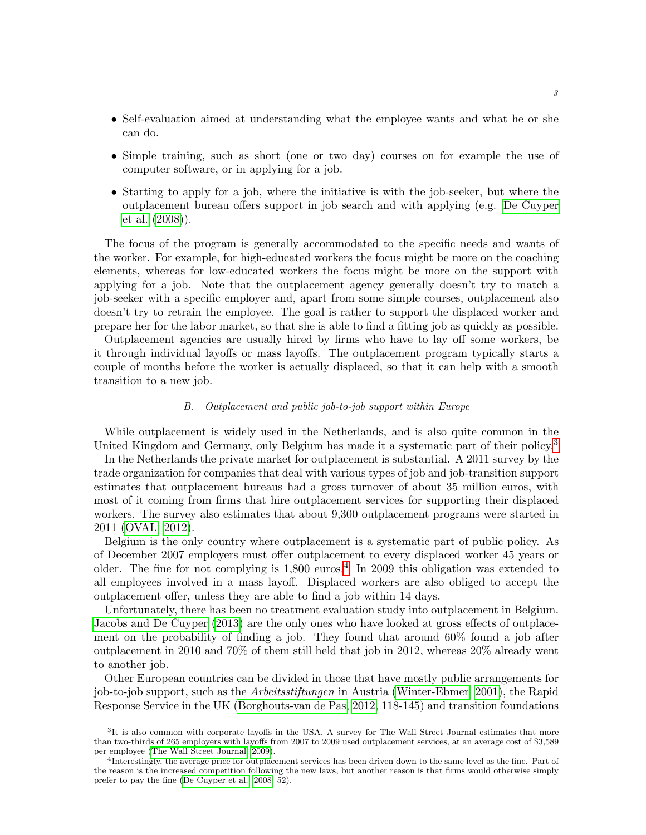- Self-evaluation aimed at understanding what the employee wants and what he or she can do.
- Simple training, such as short (one or two day) courses on for example the use of computer software, or in applying for a job.
- Starting to apply for a job, where the initiative is with the job-seeker, but where the outplacement bureau offers support in job search and with applying (e.g. [De Cuyper](#page-28-7) [et al.](#page-28-7) [\(2008\)](#page-28-7)).

The focus of the program is generally accommodated to the specific needs and wants of the worker. For example, for high-educated workers the focus might be more on the coaching elements, whereas for low-educated workers the focus might be more on the support with applying for a job. Note that the outplacement agency generally doesn't try to match a job-seeker with a specific employer and, apart from some simple courses, outplacement also doesn't try to retrain the employee. The goal is rather to support the displaced worker and prepare her for the labor market, so that she is able to find a fitting job as quickly as possible.

Outplacement agencies are usually hired by firms who have to lay off some workers, be it through individual layoffs or mass layoffs. The outplacement program typically starts a couple of months before the worker is actually displaced, so that it can help with a smooth transition to a new job.

## B. Outplacement and public job-to-job support within Europe

While outplacement is widely used in the Netherlands, and is also quite common in the United Kingdom and Germany, only Belgium has made it a systematic part of their policy.<sup>[3](#page-2-0)</sup>

In the Netherlands the private market for outplacement is substantial. A 2011 survey by the trade organization for companies that deal with various types of job and job-transition support estimates that outplacement bureaus had a gross turnover of about 35 million euros, with most of it coming from firms that hire outplacement services for supporting their displaced workers. The survey also estimates that about 9,300 outplacement programs were started in 2011 [\(OVAL, 2012\)](#page-28-8).

Belgium is the only country where outplacement is a systematic part of public policy. As of December 2007 employers must offer outplacement to every displaced worker 45 years or older. The fine for not complying is 1,800 euros.<sup>[4](#page-2-1)</sup> In 2009 this obligation was extended to all employees involved in a mass layoff. Displaced workers are also obliged to accept the outplacement offer, unless they are able to find a job within 14 days.

Unfortunately, there has been no treatment evaluation study into outplacement in Belgium. [Jacobs and De Cuyper](#page-28-9) [\(2013\)](#page-28-9) are the only ones who have looked at gross effects of outplacement on the probability of finding a job. They found that around 60% found a job after outplacement in 2010 and 70% of them still held that job in 2012, whereas 20% already went to another job.

Other European countries can be divided in those that have mostly public arrangements for job-to-job support, such as the Arbeitsstiftungen in Austria [\(Winter-Ebmer, 2001\)](#page-29-1), the Rapid Response Service in the UK [\(Borghouts-van de Pas, 2012,](#page-27-3) 118-145) and transition foundations

<span id="page-2-0"></span><sup>&</sup>lt;sup>3</sup>It is also common with corporate layoffs in the USA. A survey for The Wall Street Journal estimates that more than two-thirds of 265 employers with layoffs from 2007 to 2009 used outplacement services, at an average cost of \$3,589 per employee [\(The Wall Street Journal, 2009\)](#page-28-10).

<span id="page-2-1"></span><sup>&</sup>lt;sup>4</sup>Interestingly, the average price for outplacement services has been driven down to the same level as the fine. Part of the reason is the increased competition following the new laws, but another reason is that firms would otherwise simply prefer to pay the fine [\(De Cuyper et al., 2008,](#page-28-7) 52).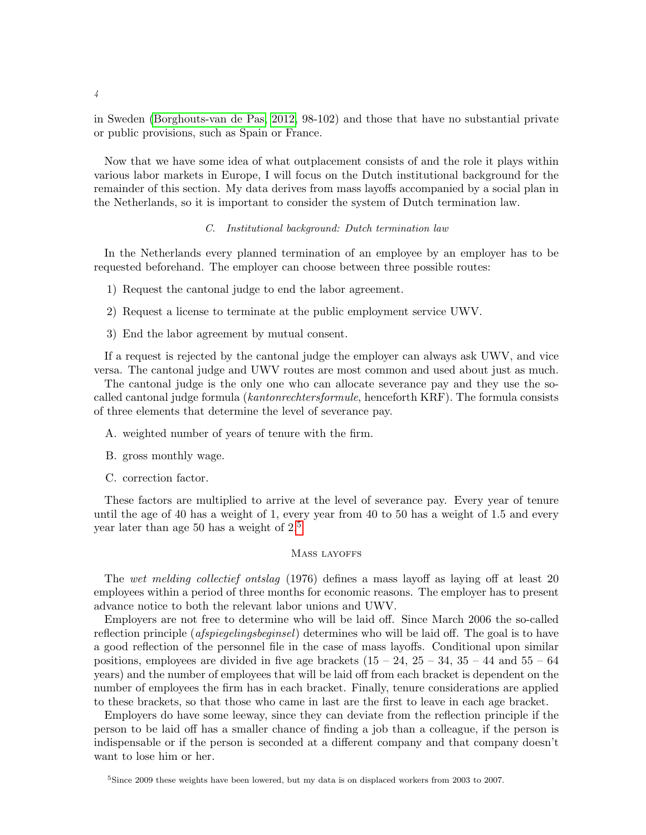in Sweden [\(Borghouts-van de Pas, 2012,](#page-27-3) 98-102) and those that have no substantial private or public provisions, such as Spain or France.

Now that we have some idea of what outplacement consists of and the role it plays within various labor markets in Europe, I will focus on the Dutch institutional background for the remainder of this section. My data derives from mass layoffs accompanied by a social plan in the Netherlands, so it is important to consider the system of Dutch termination law.

## C. Institutional background: Dutch termination law

In the Netherlands every planned termination of an employee by an employer has to be requested beforehand. The employer can choose between three possible routes:

- 1) Request the cantonal judge to end the labor agreement.
- 2) Request a license to terminate at the public employment service UWV.
- 3) End the labor agreement by mutual consent.

If a request is rejected by the cantonal judge the employer can always ask UWV, and vice versa. The cantonal judge and UWV routes are most common and used about just as much.

The cantonal judge is the only one who can allocate severance pay and they use the socalled cantonal judge formula (kantonrechtersformule, henceforth KRF). The formula consists of three elements that determine the level of severance pay.

- A. weighted number of years of tenure with the firm.
- B. gross monthly wage.
- C. correction factor.

These factors are multiplied to arrive at the level of severance pay. Every year of tenure until the age of 40 has a weight of 1, every year from 40 to 50 has a weight of 1.5 and every year later than age 50 has a weight of 2.[5](#page-3-0)

#### MASS LAYOFFS

The wet melding collectief ontslag (1976) defines a mass layoff as laying off at least 20 employees within a period of three months for economic reasons. The employer has to present advance notice to both the relevant labor unions and UWV.

Employers are not free to determine who will be laid off. Since March 2006 the so-called reflection principle (afspiegelingsbeginsel) determines who will be laid off. The goal is to have a good reflection of the personnel file in the case of mass layoffs. Conditional upon similar positions, employees are divided in five age brackets  $(15 - 24, 25 - 34, 35 - 44, 55 - 64)$ years) and the number of employees that will be laid off from each bracket is dependent on the number of employees the firm has in each bracket. Finally, tenure considerations are applied to these brackets, so that those who came in last are the first to leave in each age bracket.

Employers do have some leeway, since they can deviate from the reflection principle if the person to be laid off has a smaller chance of finding a job than a colleague, if the person is indispensable or if the person is seconded at a different company and that company doesn't want to lose him or her.

<span id="page-3-0"></span><sup>&</sup>lt;sup>5</sup>Since 2009 these weights have been lowered, but my data is on displaced workers from 2003 to 2007.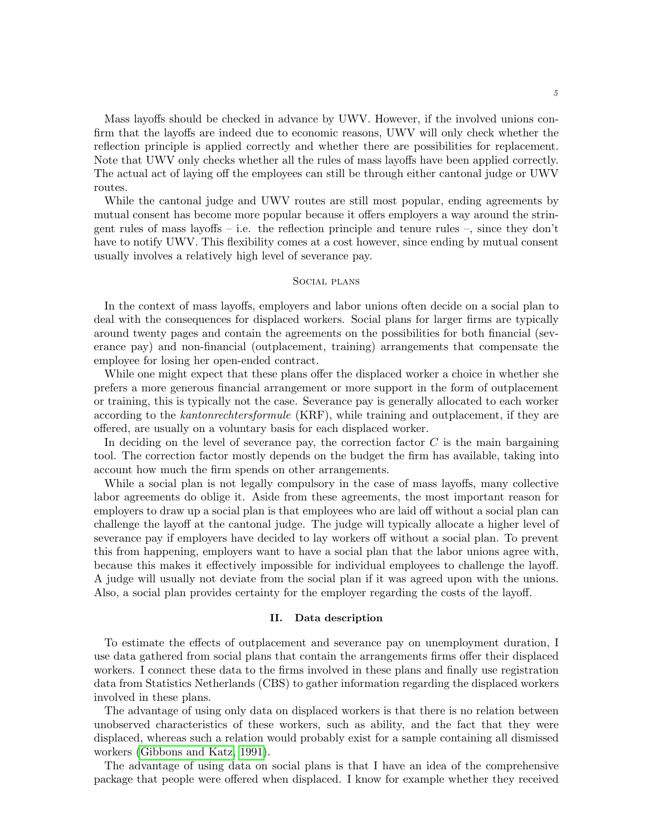Mass layoffs should be checked in advance by UWV. However, if the involved unions confirm that the layoffs are indeed due to economic reasons, UWV will only check whether the reflection principle is applied correctly and whether there are possibilities for replacement. Note that UWV only checks whether all the rules of mass layoffs have been applied correctly. The actual act of laying off the employees can still be through either cantonal judge or UWV routes.

While the cantonal judge and UWV routes are still most popular, ending agreements by mutual consent has become more popular because it offers employers a way around the stringent rules of mass layoffs – i.e. the reflection principle and tenure rules –, since they don't have to notify UWV. This flexibility comes at a cost however, since ending by mutual consent usually involves a relatively high level of severance pay.

## Social plans

In the context of mass layoffs, employers and labor unions often decide on a social plan to deal with the consequences for displaced workers. Social plans for larger firms are typically around twenty pages and contain the agreements on the possibilities for both financial (severance pay) and non-financial (outplacement, training) arrangements that compensate the employee for losing her open-ended contract.

While one might expect that these plans offer the displaced worker a choice in whether she prefers a more generous financial arrangement or more support in the form of outplacement or training, this is typically not the case. Severance pay is generally allocated to each worker according to the kantonrechtersformule (KRF), while training and outplacement, if they are offered, are usually on a voluntary basis for each displaced worker.

In deciding on the level of severance pay, the correction factor  $C$  is the main bargaining tool. The correction factor mostly depends on the budget the firm has available, taking into account how much the firm spends on other arrangements.

While a social plan is not legally compulsory in the case of mass layoffs, many collective labor agreements do oblige it. Aside from these agreements, the most important reason for employers to draw up a social plan is that employees who are laid off without a social plan can challenge the layoff at the cantonal judge. The judge will typically allocate a higher level of severance pay if employers have decided to lay workers off without a social plan. To prevent this from happening, employers want to have a social plan that the labor unions agree with, because this makes it effectively impossible for individual employees to challenge the layoff. A judge will usually not deviate from the social plan if it was agreed upon with the unions. Also, a social plan provides certainty for the employer regarding the costs of the layoff.

#### II. Data description

<span id="page-4-0"></span>To estimate the effects of outplacement and severance pay on unemployment duration, I use data gathered from social plans that contain the arrangements firms offer their displaced workers. I connect these data to the firms involved in these plans and finally use registration data from Statistics Netherlands (CBS) to gather information regarding the displaced workers involved in these plans.

The advantage of using only data on displaced workers is that there is no relation between unobserved characteristics of these workers, such as ability, and the fact that they were displaced, whereas such a relation would probably exist for a sample containing all dismissed workers [\(Gibbons and Katz, 1991\)](#page-28-11).

The advantage of using data on social plans is that I have an idea of the comprehensive package that people were offered when displaced. I know for example whether they received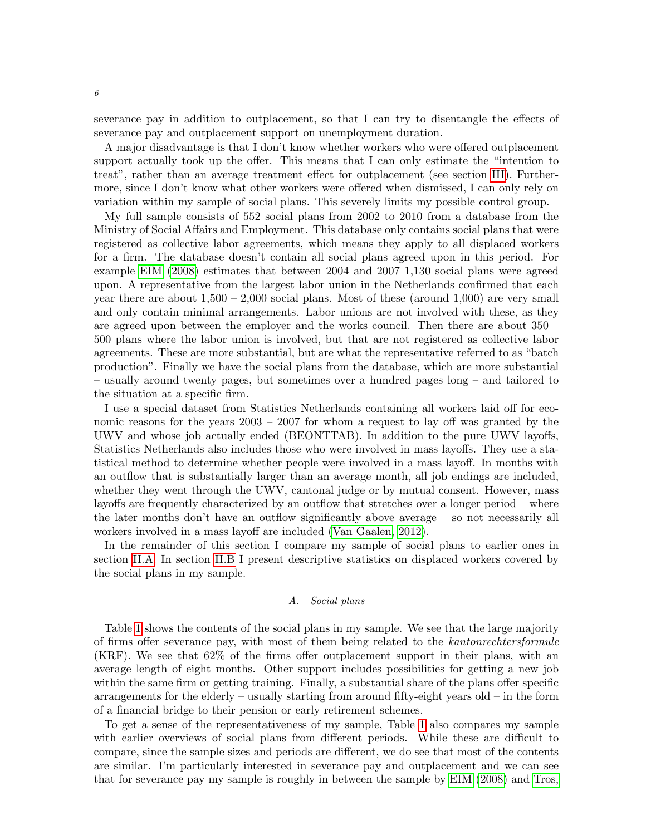severance pay in addition to outplacement, so that I can try to disentangle the effects of severance pay and outplacement support on unemployment duration.

A major disadvantage is that I don't know whether workers who were offered outplacement support actually took up the offer. This means that I can only estimate the "intention to treat", rather than an average treatment effect for outplacement (see section [III\)](#page-7-0). Furthermore, since I don't know what other workers were offered when dismissed, I can only rely on variation within my sample of social plans. This severely limits my possible control group.

My full sample consists of 552 social plans from 2002 to 2010 from a database from the Ministry of Social Affairs and Employment. This database only contains social plans that were registered as collective labor agreements, which means they apply to all displaced workers for a firm. The database doesn't contain all social plans agreed upon in this period. For example [EIM](#page-28-12) [\(2008\)](#page-28-12) estimates that between 2004 and 2007 1,130 social plans were agreed upon. A representative from the largest labor union in the Netherlands confirmed that each year there are about  $1,500 - 2,000$  social plans. Most of these (around 1,000) are very small and only contain minimal arrangements. Labor unions are not involved with these, as they are agreed upon between the employer and the works council. Then there are about 350 – 500 plans where the labor union is involved, but that are not registered as collective labor agreements. These are more substantial, but are what the representative referred to as "batch production". Finally we have the social plans from the database, which are more substantial – usually around twenty pages, but sometimes over a hundred pages long – and tailored to the situation at a specific firm.

I use a special dataset from Statistics Netherlands containing all workers laid off for economic reasons for the years 2003 – 2007 for whom a request to lay off was granted by the UWV and whose job actually ended (BEONTTAB). In addition to the pure UWV layoffs, Statistics Netherlands also includes those who were involved in mass layoffs. They use a statistical method to determine whether people were involved in a mass layoff. In months with an outflow that is substantially larger than an average month, all job endings are included, whether they went through the UWV, cantonal judge or by mutual consent. However, mass layoffs are frequently characterized by an outflow that stretches over a longer period – where the later months don't have an outflow significantly above average – so not necessarily all workers involved in a mass layoff are included [\(Van Gaalen, 2012\)](#page-29-2).

In the remainder of this section I compare my sample of social plans to earlier ones in section [II.A.](#page-5-0) In section [II.B](#page-6-0) I present descriptive statistics on displaced workers covered by the social plans in my sample.

# A. Social plans

<span id="page-5-0"></span>Table [1](#page-6-1) shows the contents of the social plans in my sample. We see that the large majority of firms offer severance pay, with most of them being related to the kantonrechtersformule (KRF). We see that 62% of the firms offer outplacement support in their plans, with an average length of eight months. Other support includes possibilities for getting a new job within the same firm or getting training. Finally, a substantial share of the plans offer specific arrangements for the elderly – usually starting from around fifty-eight years old – in the form of a financial bridge to their pension or early retirement schemes.

To get a sense of the representativeness of my sample, Table [1](#page-6-1) also compares my sample with earlier overviews of social plans from different periods. While these are difficult to compare, since the sample sizes and periods are different, we do see that most of the contents are similar. I'm particularly interested in severance pay and outplacement and we can see that for severance pay my sample is roughly in between the sample by [EIM](#page-28-12) [\(2008\)](#page-28-12) and [Tros,](#page-28-13)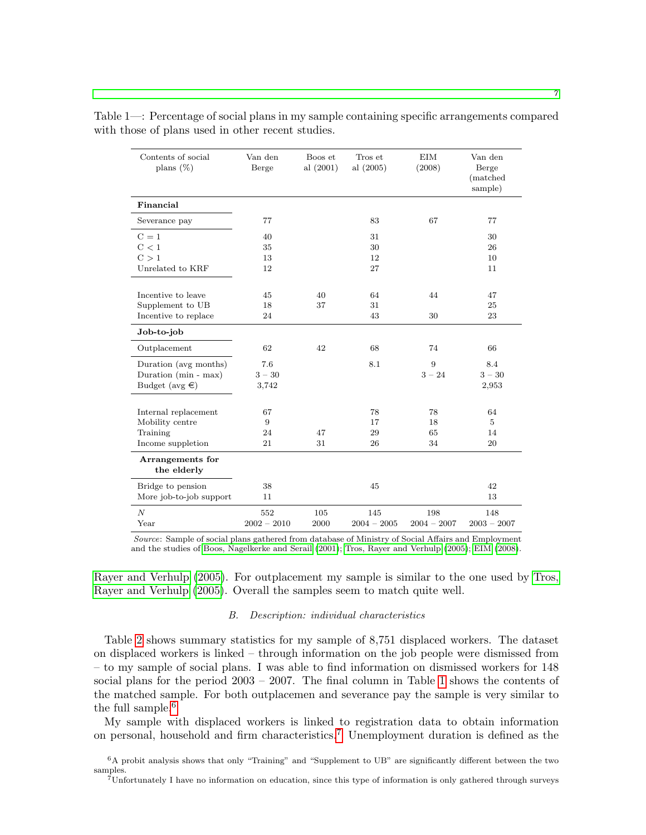| Contents of social<br>plans $(\%)$ | Van den<br>Berge | Boos et<br>al $(2001)$ | Tros et<br>al (2005) | <b>EIM</b><br>(2008) | Van den<br>Berge<br>(matched)<br>sample) |
|------------------------------------|------------------|------------------------|----------------------|----------------------|------------------------------------------|
| Financial                          |                  |                        |                      |                      |                                          |
| Severance pay                      | 77               |                        | 83                   | 67                   | 77                                       |
| $C=1$                              | 40               |                        | 31                   |                      | 30                                       |
| C < 1                              | 35               |                        | 30                   |                      | 26                                       |
| C > 1                              | 13               |                        | 12                   |                      | 10                                       |
| Unrelated to KRF                   | 12               |                        | 27                   |                      | 11                                       |
|                                    |                  |                        |                      |                      |                                          |
| Incentive to leave                 | 45               | 40                     | 64                   | 44                   | 47                                       |
| Supplement to UB                   | 18               | 37                     | 31                   |                      | 25                                       |
| Incentive to replace               | 24               |                        | 43                   | 30                   | 23                                       |
| Job-to-job                         |                  |                        |                      |                      |                                          |
| Outplacement                       | 62               | 42                     | 68                   | 74                   | 66                                       |
| Duration (avg months)              | 7.6              |                        | 8.1                  | 9                    | 8.4                                      |
| Duration (min - max)               | $3 - 30$         |                        |                      | $3 - 24$             | $3 - 30$                                 |
| Budget ( $avg \in$ )               | 3,742            |                        |                      |                      | 2,953                                    |
|                                    |                  |                        |                      |                      |                                          |
| Internal replacement               | 67               |                        | 78                   | 78                   | 64                                       |
| Mobility centre                    | 9                |                        | 17                   | 18                   | 5                                        |
| Training                           | 24               | 47                     | 29                   | 65                   | 14                                       |
| Income suppletion                  | 21               | 31                     | 26                   | 34                   | 20                                       |
| Arrangements for<br>the elderly    |                  |                        |                      |                      |                                          |
| Bridge to pension                  | 38               |                        | 45                   |                      | 42                                       |
| More job-to-job support            | 11               |                        |                      |                      | 13                                       |
| $\boldsymbol{N}$                   | 552              | 105                    | 145                  | 198                  | 148                                      |
| Year                               | $2002 - 2010$    | 2000                   | $2004 - 2005$        | $2004 - 2007$        | $2003 - 2007$                            |

<span id="page-6-1"></span>Table 1—: Percentage of social plans in my sample containing specific arrangements compared with those of plans used in other recent studies.

Source: Sample of social plans gathered from database of Ministry of Social Affairs and Employment and the studies of [Boos, Nagelkerke and Serail](#page-27-4) [\(2001\)](#page-27-4); [Tros, Rayer and Verhulp](#page-28-13) [\(2005\)](#page-28-13); [EIM](#page-28-12) [\(2008\)](#page-28-12).

[Rayer and Verhulp](#page-28-13) [\(2005\)](#page-28-13). For outplacement my sample is similar to the one used by [Tros,](#page-28-13) [Rayer and Verhulp](#page-28-13) [\(2005\)](#page-28-13). Overall the samples seem to match quite well.

#### B. Description: individual characteristics

<span id="page-6-0"></span>Table [2](#page-8-0) shows summary statistics for my sample of 8,751 displaced workers. The dataset on displaced workers is linked – through information on the job people were dismissed from – to my sample of social plans. I was able to find information on dismissed workers for 148 social plans for the period 2003 – 2007. The final column in Table [1](#page-6-1) shows the contents of the matched sample. For both outplacemen and severance pay the sample is very similar to the full sample.<sup>[6](#page-6-2)</sup>

My sample with displaced workers is linked to registration data to obtain information on personal, household and firm characteristics.[7](#page-6-3) Unemployment duration is defined as the

<span id="page-6-2"></span><sup>6</sup>A probit analysis shows that only "Training" and "Supplement to UB" are significantly different between the two samples.

<span id="page-6-3"></span><sup>7</sup>Unfortunately I have no information on education, since this type of information is only gathered through surveys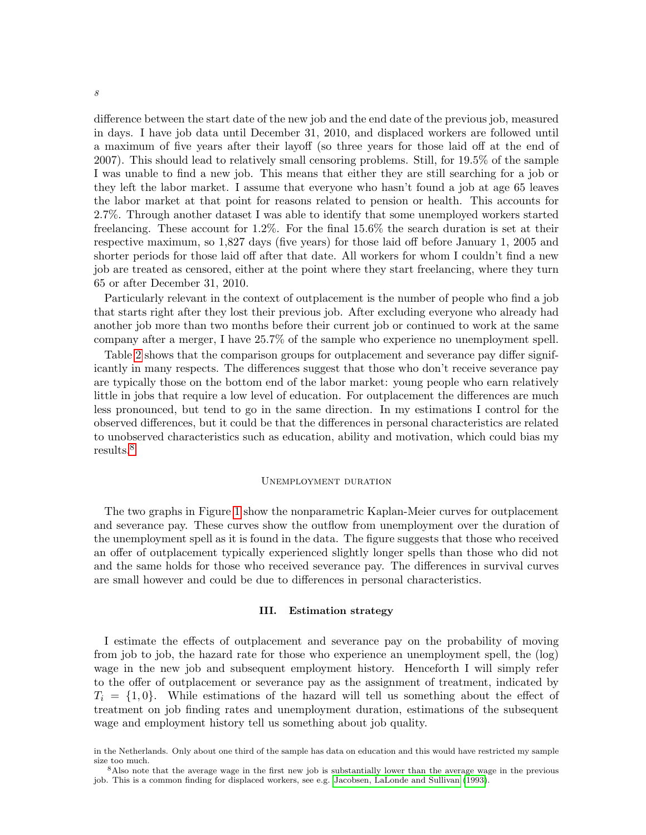difference between the start date of the new job and the end date of the previous job, measured in days. I have job data until December 31, 2010, and displaced workers are followed until a maximum of five years after their layoff (so three years for those laid off at the end of 2007). This should lead to relatively small censoring problems. Still, for 19.5% of the sample I was unable to find a new job. This means that either they are still searching for a job or they left the labor market. I assume that everyone who hasn't found a job at age 65 leaves the labor market at that point for reasons related to pension or health. This accounts for 2.7%. Through another dataset I was able to identify that some unemployed workers started freelancing. These account for 1.2%. For the final 15.6% the search duration is set at their respective maximum, so 1,827 days (five years) for those laid off before January 1, 2005 and shorter periods for those laid off after that date. All workers for whom I couldn't find a new job are treated as censored, either at the point where they start freelancing, where they turn 65 or after December 31, 2010.

Particularly relevant in the context of outplacement is the number of people who find a job that starts right after they lost their previous job. After excluding everyone who already had another job more than two months before their current job or continued to work at the same company after a merger, I have 25.7% of the sample who experience no unemployment spell.

Table [2](#page-8-0) shows that the comparison groups for outplacement and severance pay differ significantly in many respects. The differences suggest that those who don't receive severance pay are typically those on the bottom end of the labor market: young people who earn relatively little in jobs that require a low level of education. For outplacement the differences are much less pronounced, but tend to go in the same direction. In my estimations I control for the observed differences, but it could be that the differences in personal characteristics are related to unobserved characteristics such as education, ability and motivation, which could bias my results.[8](#page-7-1)

## Unemployment duration

The two graphs in Figure [1](#page-9-0) show the nonparametric Kaplan-Meier curves for outplacement and severance pay. These curves show the outflow from unemployment over the duration of the unemployment spell as it is found in the data. The figure suggests that those who received an offer of outplacement typically experienced slightly longer spells than those who did not and the same holds for those who received severance pay. The differences in survival curves are small however and could be due to differences in personal characteristics.

#### III. Estimation strategy

<span id="page-7-0"></span>I estimate the effects of outplacement and severance pay on the probability of moving from job to job, the hazard rate for those who experience an unemployment spell, the (log) wage in the new job and subsequent employment history. Henceforth I will simply refer to the offer of outplacement or severance pay as the assignment of treatment, indicated by  $T_i = \{1, 0\}$ . While estimations of the hazard will tell us something about the effect of treatment on job finding rates and unemployment duration, estimations of the subsequent wage and employment history tell us something about job quality.

in the Netherlands. Only about one third of the sample has data on education and this would have restricted my sample size too much.

<span id="page-7-1"></span><sup>8</sup>Also note that the average wage in the first new job is substantially lower than the average wage in the previous job. This is a common finding for displaced workers, see e.g. [Jacobsen, LaLonde and Sullivan](#page-28-14) [\(1993\)](#page-28-14).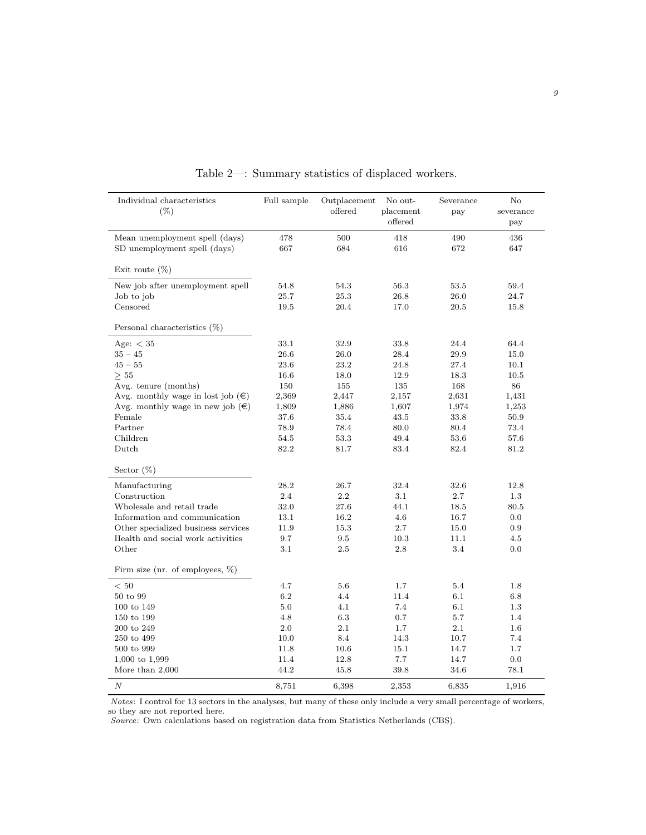<span id="page-8-0"></span>

| Individual characteristics<br>$(\% )$      | Full sample | Outplacement<br>offered | No out-<br>placement<br>offered | Severance<br>pay | $\rm No$<br>severance<br>pay |
|--------------------------------------------|-------------|-------------------------|---------------------------------|------------------|------------------------------|
| Mean unemployment spell (days)             | 478         | 500                     | 418                             | 490              | 436                          |
| SD unemployment spell (days)               | 667         | 684                     | 616                             | 672              | 647                          |
| Exit route $(\%)$                          |             |                         |                                 |                  |                              |
| New job after unemployment spell           | 54.8        | 54.3                    | 56.3                            | 53.5             | 59.4                         |
| Job to job                                 | 25.7        | 25.3                    | 26.8                            | 26.0             | 24.7                         |
| Censored                                   | 19.5        | 20.4                    | 17.0                            | 20.5             | 15.8                         |
| Personal characteristics $(\%)$            |             |                         |                                 |                  |                              |
| Age: $<$ 35                                | 33.1        | 32.9                    | 33.8                            | 24.4             | 64.4                         |
| $35 - 45$                                  | 26.6        | 26.0                    | 28.4                            | 29.9             | 15.0                         |
| $45 - 55$                                  | 23.6        | 23.2                    | 24.8                            | 27.4             | 10.1                         |
| $\geq$ 55                                  | 16.6        | 18.0                    | 12.9                            | 18.3             | 10.5                         |
| Avg. tenure (months)                       | 150         | 155                     | 135                             | 168              | 86                           |
| Avg. monthly wage in lost job $(\epsilon)$ | 2,369       | 2,447                   | 2,157                           | 2,631            | 1,431                        |
| Avg. monthly wage in new job $(\epsilon)$  | 1,809       | 1,886                   | 1,607                           | 1,974            | 1,253                        |
| Female                                     | 37.6        | 35.4                    | 43.5                            | 33.8             | 50.9                         |
| Partner                                    | 78.9        | 78.4                    | 80.0                            | 80.4             | 73.4                         |
| Children                                   | 54.5        | 53.3                    | 49.4                            | 53.6             | 57.6                         |
| Dutch                                      | 82.2        | 81.7                    | 83.4                            | 82.4             | 81.2                         |
| Sector $(\%)$                              |             |                         |                                 |                  |                              |
| Manufacturing                              | 28.2        | 26.7                    | 32.4                            | 32.6             | 12.8                         |
| Construction                               | 2.4         | 2.2                     | 3.1                             | 2.7              | 1.3                          |
| Wholesale and retail trade                 | 32.0        | 27.6                    | 44.1                            | 18.5             | 80.5                         |
| Information and communication              | 13.1        | 16.2                    | 4.6                             | 16.7             | 0.0                          |
| Other specialized business services        | 11.9        | 15.3                    | 2.7                             | 15.0             | 0.9                          |
| Health and social work activities          | 9.7         | 9.5                     | 10.3                            | 11.1             | 4.5                          |
| Other                                      | 3.1         | 2.5                     | 2.8                             | 3.4              | 0.0                          |
| Firm size (nr. of employees, $\%$ )        |             |                         |                                 |                  |                              |
| < 50                                       | 4.7         | 5.6                     | 1.7                             | 5.4              | 1.8                          |
| 50 to 99                                   | 6.2         | 4.4                     | 11.4                            | 6.1              | 6.8                          |
| 100 to 149                                 | 5.0         | 4.1                     | 7.4                             | 6.1              | 1.3                          |
| 150 to 199                                 | 4.8         | 6.3                     | 0.7                             | 5.7              | 1.4                          |
| 200 to 249                                 | 2.0         | 2.1                     | 1.7                             | 2.1              | 1.6                          |
| 250 to 499                                 | 10.0        | 8.4                     | 14.3                            | 10.7             | 7.4                          |
| 500 to 999                                 | 11.8        | 10.6                    | 15.1                            | 14.7             | 1.7                          |
| $1,000$ to $1,999$                         | 11.4        | 12.8                    | 7.7                             | 14.7             | 0.0                          |
| More than $2,000$                          | 44.2        | 45.8                    | 39.8                            | 34.6             | 78.1                         |
| $\cal N$                                   | 8,751       | 6,398                   | 2,353                           | 6,835            | 1,916                        |

Table 2—: Summary statistics of displaced workers.

Notes: I control for 13 sectors in the analyses, but many of these only include a very small percentage of workers, so they are not reported here.

Source: Own calculations based on registration data from Statistics Netherlands (CBS).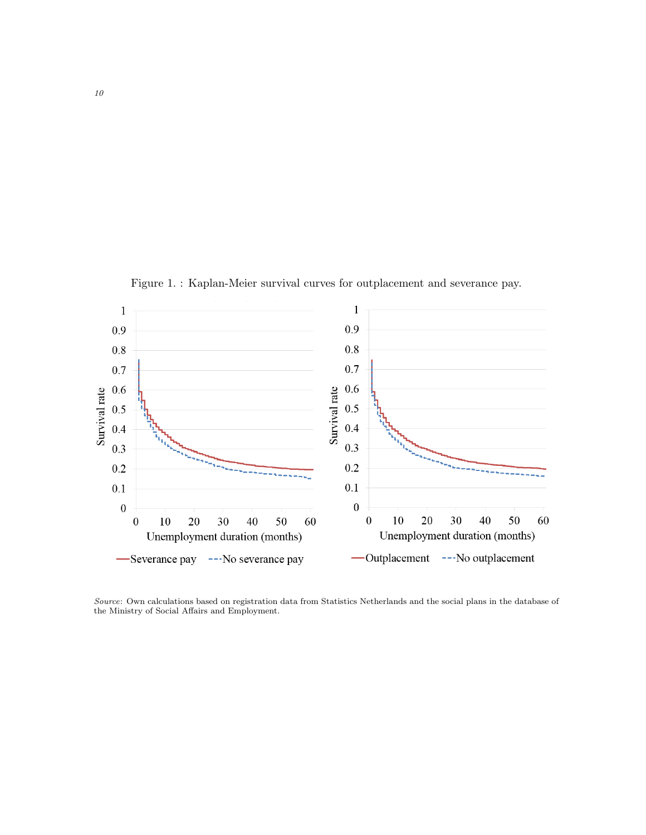Figure 1. : Kaplan-Meier survival curves for outplacement and severance pay.

<span id="page-9-0"></span>

Source: Own calculations based on registration data from Statistics Netherlands and the social plans in the database of the Ministry of Social Affairs and Employment.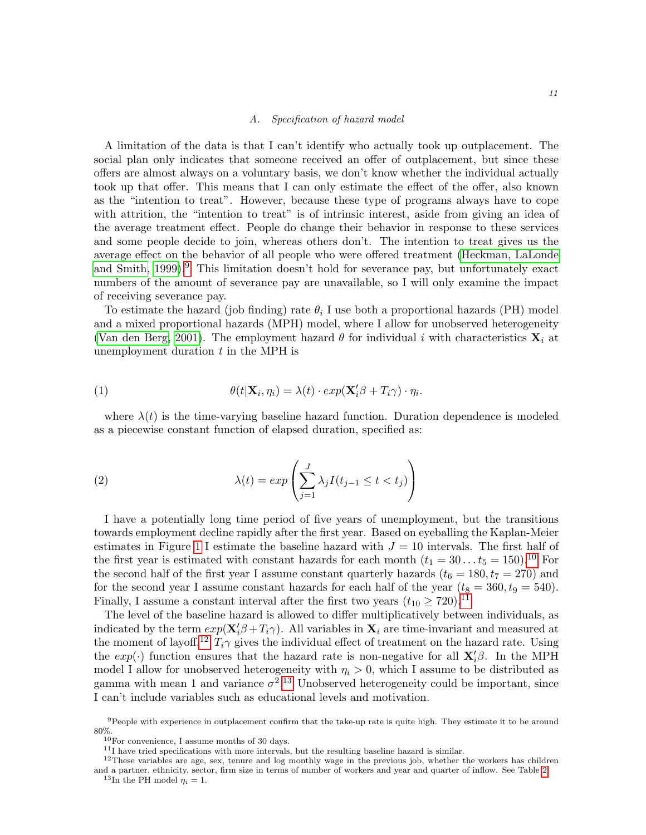#### A. Specification of hazard model

A limitation of the data is that I can't identify who actually took up outplacement. The social plan only indicates that someone received an offer of outplacement, but since these offers are almost always on a voluntary basis, we don't know whether the individual actually took up that offer. This means that I can only estimate the effect of the offer, also known as the "intention to treat". However, because these type of programs always have to cope with attrition, the "intention to treat" is of intrinsic interest, aside from giving an idea of the average treatment effect. People do change their behavior in response to these services and some people decide to join, whereas others don't. The intention to treat gives us the average effect on the behavior of all people who were offered treatment [\(Heckman, LaLonde](#page-28-15) and Smith,  $1999$  $1999$  $1999$ .<sup>9</sup> This limitation doesn't hold for severance pay, but unfortunately exact numbers of the amount of severance pay are unavailable, so I will only examine the impact of receiving severance pay.

To estimate the hazard (job finding) rate  $\theta_i$  I use both a proportional hazards (PH) model and a mixed proportional hazards (MPH) model, where I allow for unobserved heterogeneity [\(Van den Berg, 2001\)](#page-28-16). The employment hazard  $\theta$  for individual i with characteristics  $\mathbf{X}_i$  at unemployment duration  $t$  in the MPH is

(1) 
$$
\theta(t|\mathbf{X}_i, \eta_i) = \lambda(t) \cdot exp(\mathbf{X}_i'\beta + T_i\gamma) \cdot \eta_i.
$$

where  $\lambda(t)$  is the time-varying baseline hazard function. Duration dependence is modeled as a piecewise constant function of elapsed duration, specified as:

(2) 
$$
\lambda(t) = exp\left(\sum_{j=1}^{J} \lambda_j I(t_{j-1} \leq t < t_j)\right)
$$

I have a potentially long time period of five years of unemployment, but the transitions towards employment decline rapidly after the first year. Based on eyeballing the Kaplan-Meier estimates in Figure [1](#page-9-0) I estimate the baseline hazard with  $J = 10$  intervals. The first half of the first year is estimated with constant hazards for each month  $(t_1 = 30...t_5 = 150).^{10}$  $(t_1 = 30...t_5 = 150).^{10}$  $(t_1 = 30...t_5 = 150).^{10}$  For the second half of the first year I assume constant quarterly hazards  $(t_6 = 180, t_7 = 270)$  and for the second year I assume constant hazards for each half of the year  $(t_8 = 360, t_9 = 540)$ . Finally, I assume a constant interval after the first two years  $(t_{10} \ge 720)^{11}$  $(t_{10} \ge 720)^{11}$  $(t_{10} \ge 720)^{11}$ 

The level of the baseline hazard is allowed to differ multiplicatively between individuals, as indicated by the term  $exp(\mathbf{X}'_i\beta + T_i\gamma)$ . All variables in  $\mathbf{X}_i$  are time-invariant and measured at the moment of layoff.<sup>[12](#page-10-3)</sup>  $T_i\gamma$  gives the individual effect of treatment on the hazard rate. Using the  $exp(\cdot)$  function ensures that the hazard rate is non-negative for all  $\mathbf{X}'_i\beta$ . In the MPH model I allow for unobserved heterogeneity with  $\eta_i > 0$ , which I assume to be distributed as gamma with mean 1 and variance  $\sigma^2$ .<sup>[13](#page-10-4)</sup> Unobserved heterogeneity could be important, since I can't include variables such as educational levels and motivation.

<span id="page-10-0"></span> $9$ People with experience in outplacement confirm that the take-up rate is quite high. They estimate it to be around 80%.

<span id="page-10-1"></span> $10$ For convenience, I assume months of 30 days.

<span id="page-10-3"></span><span id="page-10-2"></span><sup>&</sup>lt;sup>11</sup>I have tried specifications with more intervals, but the resulting baseline hazard is similar.

 $12$ These variables are age, sex, tenure and log monthly wage in the previous job, whether the workers has children and a partner, ethnicity, sector, firm size in terms of number of workers and year and quarter of inflow. See Table [2.](#page-8-0)

<span id="page-10-4"></span><sup>&</sup>lt;sup>13</sup>In the PH model  $\eta_i = 1$ .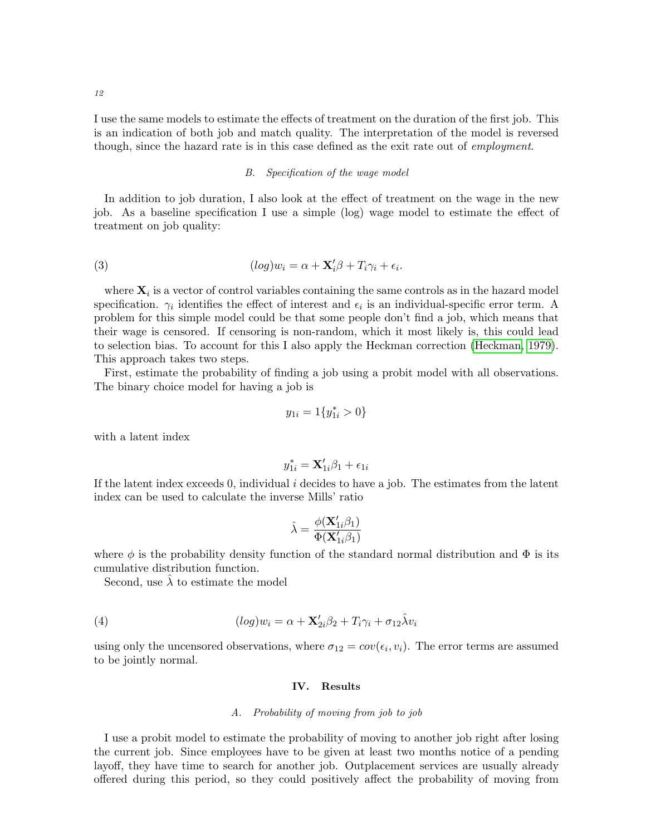I use the same models to estimate the effects of treatment on the duration of the first job. This is an indication of both job and match quality. The interpretation of the model is reversed though, since the hazard rate is in this case defined as the exit rate out of employment.

# B. Specification of the wage model

In addition to job duration, I also look at the effect of treatment on the wage in the new job. As a baseline specification I use a simple (log) wage model to estimate the effect of treatment on job quality:

(3) 
$$
(log)w_i = \alpha + \mathbf{X}'_i \beta + T_i \gamma_i + \epsilon_i.
$$

where  $\mathbf{X}_i$  is a vector of control variables containing the same controls as in the hazard model specification.  $\gamma_i$  identifies the effect of interest and  $\epsilon_i$  is an individual-specific error term. A problem for this simple model could be that some people don't find a job, which means that their wage is censored. If censoring is non-random, which it most likely is, this could lead to selection bias. To account for this I also apply the Heckman correction [\(Heckman, 1979\)](#page-28-17). This approach takes two steps.

First, estimate the probability of finding a job using a probit model with all observations. The binary choice model for having a job is

<span id="page-11-1"></span>
$$
y_{1i} = 1\{y_{1i}^* > 0\}
$$

with a latent index

$$
y_{1i}^* = \mathbf{X}_{1i}'\beta_1 + \epsilon_{1i}
$$

If the latent index exceeds 0, individual  $i$  decides to have a job. The estimates from the latent index can be used to calculate the inverse Mills' ratio

$$
\hat{\lambda} = \frac{\phi(\mathbf{X}_{1i}'\beta_1)}{\Phi(\mathbf{X}_{1i}'\beta_1)}
$$

where  $\phi$  is the probability density function of the standard normal distribution and  $\Phi$  is its cumulative distribution function.

Second, use  $\hat{\lambda}$  to estimate the model

(4) 
$$
(log)w_i = \alpha + \mathbf{X}_{2i}'\beta_2 + T_i\gamma_i + \sigma_{12}\hat{\lambda}v_i
$$

<span id="page-11-0"></span>using only the uncensored observations, where  $\sigma_{12} = cov(\epsilon_i, v_i)$ . The error terms are assumed to be jointly normal.

### IV. Results

### A. Probability of moving from job to job

I use a probit model to estimate the probability of moving to another job right after losing the current job. Since employees have to be given at least two months notice of a pending layoff, they have time to search for another job. Outplacement services are usually already offered during this period, so they could positively affect the probability of moving from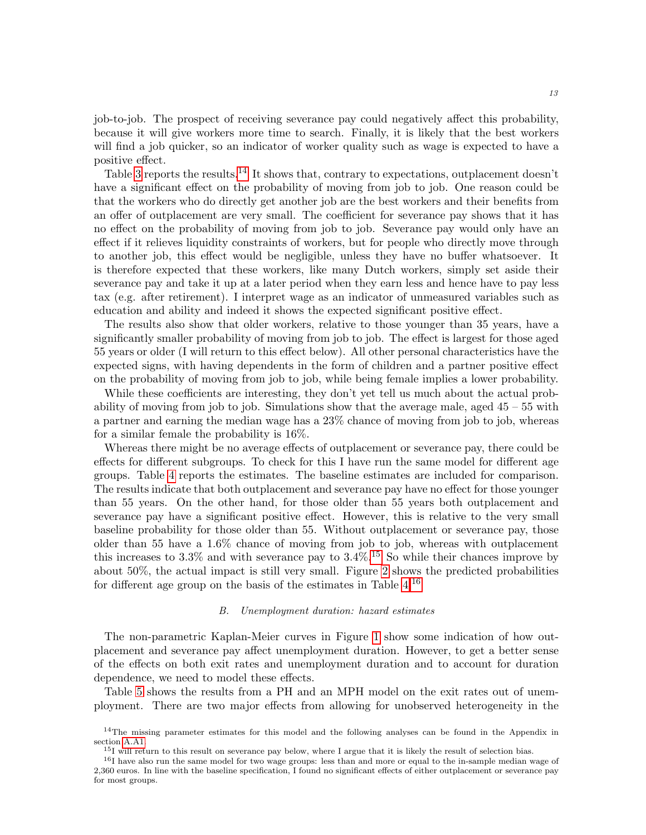job-to-job. The prospect of receiving severance pay could negatively affect this probability, because it will give workers more time to search. Finally, it is likely that the best workers will find a job quicker, so an indicator of worker quality such as wage is expected to have a positive effect.

Table [3](#page-13-0) reports the results.<sup>[14](#page-12-0)</sup> It shows that, contrary to expectations, outplacement doesn't have a significant effect on the probability of moving from job to job. One reason could be that the workers who do directly get another job are the best workers and their benefits from an offer of outplacement are very small. The coefficient for severance pay shows that it has no effect on the probability of moving from job to job. Severance pay would only have an effect if it relieves liquidity constraints of workers, but for people who directly move through to another job, this effect would be negligible, unless they have no buffer whatsoever. It is therefore expected that these workers, like many Dutch workers, simply set aside their severance pay and take it up at a later period when they earn less and hence have to pay less tax (e.g. after retirement). I interpret wage as an indicator of unmeasured variables such as education and ability and indeed it shows the expected significant positive effect.

The results also show that older workers, relative to those younger than 35 years, have a significantly smaller probability of moving from job to job. The effect is largest for those aged 55 years or older (I will return to this effect below). All other personal characteristics have the expected signs, with having dependents in the form of children and a partner positive effect on the probability of moving from job to job, while being female implies a lower probability.

While these coefficients are interesting, they don't yet tell us much about the actual probability of moving from job to job. Simulations show that the average male, aged 45 – 55 with a partner and earning the median wage has a 23% chance of moving from job to job, whereas for a similar female the probability is 16%.

Whereas there might be no average effects of outplacement or severance pay, there could be effects for different subgroups. To check for this I have run the same model for different age groups. Table [4](#page-13-1) reports the estimates. The baseline estimates are included for comparison. The results indicate that both outplacement and severance pay have no effect for those younger than 55 years. On the other hand, for those older than 55 years both outplacement and severance pay have a significant positive effect. However, this is relative to the very small baseline probability for those older than 55. Without outplacement or severance pay, those older than 55 have a 1.6% chance of moving from job to job, whereas with outplacement this increases to 3.3% and with severance pay to  $3.4\%$ .<sup>[15](#page-12-1)</sup> So while their chances improve by about 50%, the actual impact is still very small. Figure [2](#page-14-0) shows the predicted probabilities for different age group on the basis of the estimates in Table  $4^{16}$  $4^{16}$  $4^{16}$ 

#### B. Unemployment duration: hazard estimates

The non-parametric Kaplan-Meier curves in Figure [1](#page-9-0) show some indication of how outplacement and severance pay affect unemployment duration. However, to get a better sense of the effects on both exit rates and unemployment duration and to account for duration dependence, we need to model these effects.

Table [5](#page-16-0) shows the results from a PH and an MPH model on the exit rates out of unemployment. There are two major effects from allowing for unobserved heterogeneity in the

<span id="page-12-0"></span><sup>&</sup>lt;sup>14</sup>The missing parameter estimates for this model and the following analyses can be found in the Appendix in section [A.A1.](#page-30-0)

<span id="page-12-2"></span><span id="page-12-1"></span><sup>&</sup>lt;sup>15</sup>I will return to this result on severance pay below, where I argue that it is likely the result of selection bias.

<sup>&</sup>lt;sup>16</sup>I have also run the same model for two wage groups: less than and more or equal to the in-sample median wage of 2,360 euros. In line with the baseline specification, I found no significant effects of either outplacement or severance pay for most groups.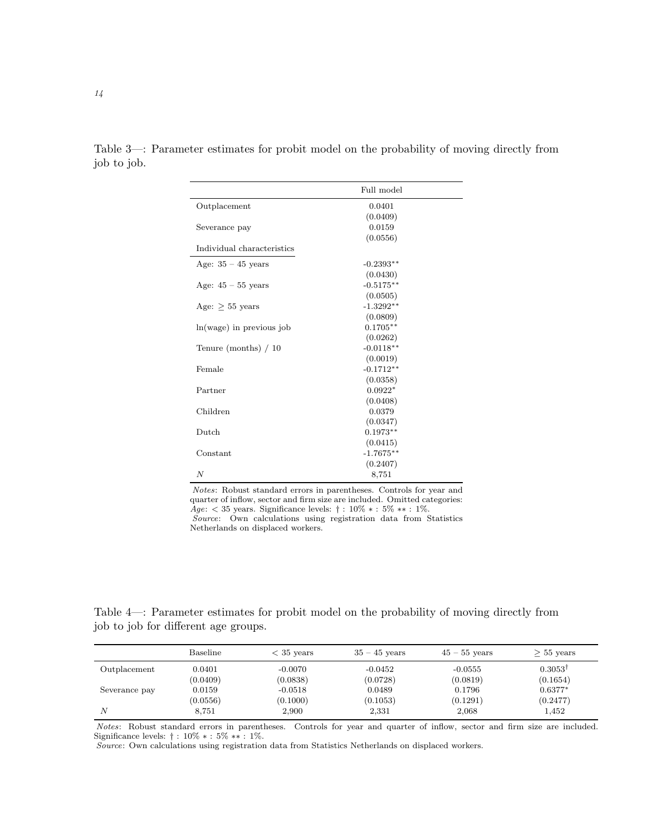|                            | Full model  |  |
|----------------------------|-------------|--|
| Outplacement               | 0.0401      |  |
|                            | (0.0409)    |  |
| Severance pay              | 0.0159      |  |
|                            | (0.0556)    |  |
| Individual characteristics |             |  |
| Age: $35 - 45$ years       | $-0.2393**$ |  |
|                            | (0.0430)    |  |
| Age: $45 - 55$ years       | $-0.5175**$ |  |
|                            | (0.0505)    |  |
| Age: $> 55$ years          | $-1.3292**$ |  |
|                            | (0.0809)    |  |
| $ln(wage)$ in previous job | $0.1705**$  |  |
|                            | (0.0262)    |  |
| Tenure (months) $/10$      | $-0.0118**$ |  |
|                            | (0.0019)    |  |
| Female                     | $-0.1712**$ |  |
|                            | (0.0358)    |  |
| Partner                    | $0.0922*$   |  |
|                            | (0.0408)    |  |
| Children                   | 0.0379      |  |
|                            | (0.0347)    |  |
| Dutch                      | $0.1973**$  |  |
|                            | (0.0415)    |  |
| Constant                   | $-1.7675**$ |  |
|                            | (0.2407)    |  |
| N                          | 8,751       |  |

<span id="page-13-0"></span>Table 3—: Parameter estimates for probit model on the probability of moving directly from job to job.

Notes: Robust standard errors in parentheses. Controls for year and quarter of inflow, sector and firm size are included. Omitted categories: Age:  $<$  35 years. Significance levels: † : 10%  $*$  : 5%  $**$  : 1%. Source: Own calculations using registration data from Statistics Netherlands on displaced workers.

Table 4—: Parameter estimates for probit model on the probability of moving directly from job to job for different age groups.

<span id="page-13-1"></span>

|               | Baseline | $<$ 35 years | $35 - 45$ years | $45 - 55$ years | $> 55$ years       |
|---------------|----------|--------------|-----------------|-----------------|--------------------|
| Outplacement  | 0.0401   | $-0.0070$    | $-0.0452$       | $-0.0555$       | $0.3053^{\dagger}$ |
|               | (0.0409) | (0.0838)     | (0.0728)        | (0.0819)        | (0.1654)           |
| Severance pay | 0.0159   | $-0.0518$    | 0.0489          | 0.1796          | $0.6377*$          |
|               | (0.0556) | (0.1000)     | (0.1053)        | (0.1291)        | (0.2477)           |
| N             | 8,751    | 2,900        | 2,331           | 2,068           | 1,452              |

Notes: Robust standard errors in parentheses. Controls for year and quarter of inflow, sector and firm size are included. Significance levels: † : 10% ∗ : 5% ∗∗ : 1%.

Source: Own calculations using registration data from Statistics Netherlands on displaced workers.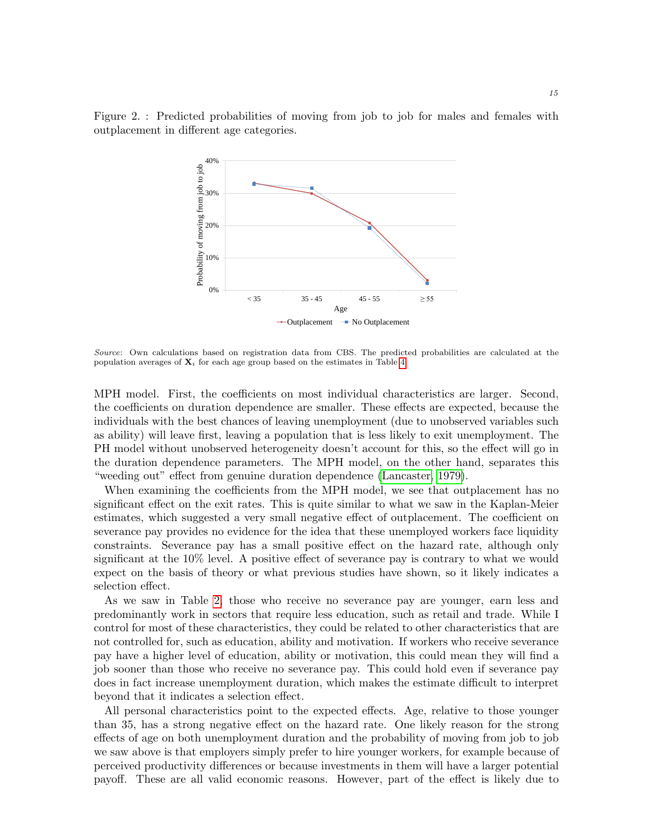<span id="page-14-0"></span>Figure 2. : Predicted probabilities of moving from job to job for males and females with outplacement in different age categories.



Source: Own calculations based on registration data from CBS. The predicted probabilities are calculated at the population averages of  $\mathbf{X}_i$  for each age group based on the estimates in Table [4.](#page-13-1)

MPH model. First, the coefficients on most individual characteristics are larger. Second, the coefficients on duration dependence are smaller. These effects are expected, because the individuals with the best chances of leaving unemployment (due to unobserved variables such as ability) will leave first, leaving a population that is less likely to exit unemployment. The PH model without unobserved heterogeneity doesn't account for this, so the effect will go in the duration dependence parameters. The MPH model, on the other hand, separates this "weeding out" effect from genuine duration dependence [\(Lancaster, 1979\)](#page-28-18).

When examining the coefficients from the MPH model, we see that outplacement has no significant effect on the exit rates. This is quite similar to what we saw in the Kaplan-Meier estimates, which suggested a very small negative effect of outplacement. The coefficient on severance pay provides no evidence for the idea that these unemployed workers face liquidity constraints. Severance pay has a small positive effect on the hazard rate, although only significant at the 10% level. A positive effect of severance pay is contrary to what we would expect on the basis of theory or what previous studies have shown, so it likely indicates a selection effect.

As we saw in Table [2,](#page-8-0) those who receive no severance pay are younger, earn less and predominantly work in sectors that require less education, such as retail and trade. While I control for most of these characteristics, they could be related to other characteristics that are not controlled for, such as education, ability and motivation. If workers who receive severance pay have a higher level of education, ability or motivation, this could mean they will find a job sooner than those who receive no severance pay. This could hold even if severance pay does in fact increase unemployment duration, which makes the estimate difficult to interpret beyond that it indicates a selection effect.

All personal characteristics point to the expected effects. Age, relative to those younger than 35, has a strong negative effect on the hazard rate. One likely reason for the strong effects of age on both unemployment duration and the probability of moving from job to job we saw above is that employers simply prefer to hire younger workers, for example because of perceived productivity differences or because investments in them will have a larger potential payoff. These are all valid economic reasons. However, part of the effect is likely due to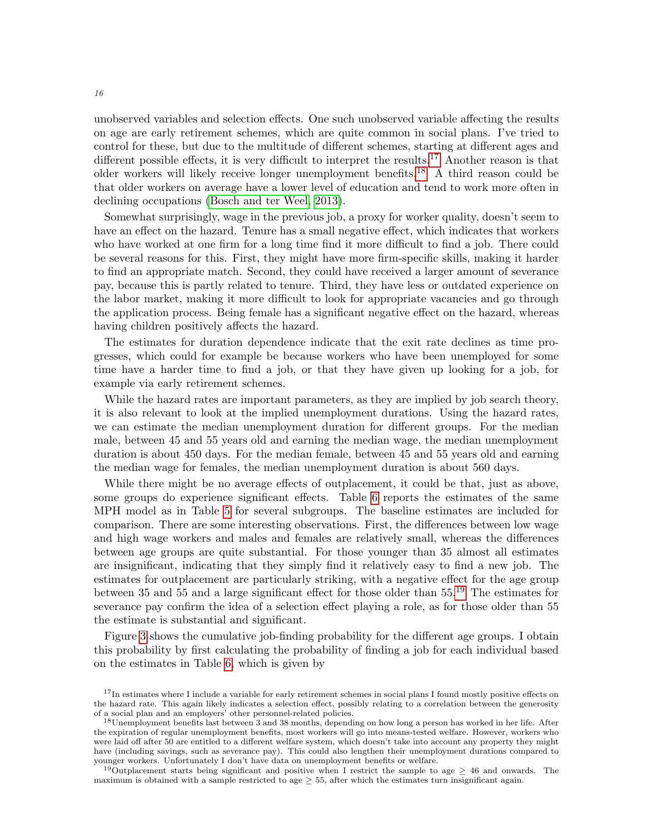unobserved variables and selection effects. One such unobserved variable affecting the results on age are early retirement schemes, which are quite common in social plans. I've tried to control for these, but due to the multitude of different schemes, starting at different ages and different possible effects, it is very difficult to interpret the results.<sup>[17](#page-15-0)</sup> Another reason is that older workers will likely receive longer unemployment benefits.[18](#page-15-1) A third reason could be that older workers on average have a lower level of education and tend to work more often in declining occupations [\(Bosch and ter Weel, 2013\)](#page-27-5).

Somewhat surprisingly, wage in the previous job, a proxy for worker quality, doesn't seem to have an effect on the hazard. Tenure has a small negative effect, which indicates that workers who have worked at one firm for a long time find it more difficult to find a job. There could be several reasons for this. First, they might have more firm-specific skills, making it harder to find an appropriate match. Second, they could have received a larger amount of severance pay, because this is partly related to tenure. Third, they have less or outdated experience on the labor market, making it more difficult to look for appropriate vacancies and go through the application process. Being female has a significant negative effect on the hazard, whereas having children positively affects the hazard.

The estimates for duration dependence indicate that the exit rate declines as time progresses, which could for example be because workers who have been unemployed for some time have a harder time to find a job, or that they have given up looking for a job, for example via early retirement schemes.

While the hazard rates are important parameters, as they are implied by job search theory, it is also relevant to look at the implied unemployment durations. Using the hazard rates, we can estimate the median unemployment duration for different groups. For the median male, between 45 and 55 years old and earning the median wage, the median unemployment duration is about 450 days. For the median female, between 45 and 55 years old and earning the median wage for females, the median unemployment duration is about 560 days.

While there might be no average effects of outplacement, it could be that, just as above, some groups do experience significant effects. Table [6](#page-18-0) reports the estimates of the same MPH model as in Table [5](#page-16-0) for several subgroups. The baseline estimates are included for comparison. There are some interesting observations. First, the differences between low wage and high wage workers and males and females are relatively small, whereas the differences between age groups are quite substantial. For those younger than 35 almost all estimates are insignificant, indicating that they simply find it relatively easy to find a new job. The estimates for outplacement are particularly striking, with a negative effect for the age group between 35 and 55 and a large significant effect for those older than 55.[19](#page-15-2) The estimates for severance pay confirm the idea of a selection effect playing a role, as for those older than 55 the estimate is substantial and significant.

Figure [3](#page-20-0) shows the cumulative job-finding probability for the different age groups. I obtain this probability by first calculating the probability of finding a job for each individual based on the estimates in Table [6,](#page-18-0) which is given by

<span id="page-15-0"></span><sup>&</sup>lt;sup>17</sup>In estimates where I include a variable for early retirement schemes in social plans I found mostly positive effects on the hazard rate. This again likely indicates a selection effect, possibly relating to a correlation between the generosity of a social plan and an employers' other personnel-related policies.

<span id="page-15-1"></span><sup>18</sup>Unemployment benefits last between 3 and 38 months, depending on how long a person has worked in her life. After the expiration of regular unemployment benefits, most workers will go into means-tested welfare. However, workers who were laid off after 50 are entitled to a different welfare system, which doesn't take into account any property they might have (including savings, such as severance pay). This could also lengthen their unemployment durations compared to younger workers. Unfortunately I don't have data on unemployment benefits or welfare.

<span id="page-15-2"></span><sup>&</sup>lt;sup>19</sup>Outplacement starts being significant and positive when I restrict the sample to age  $\geq$  46 and onwards. The maximum is obtained with a sample restricted to age  $\geq$  55, after which the estimates turn insignificant again.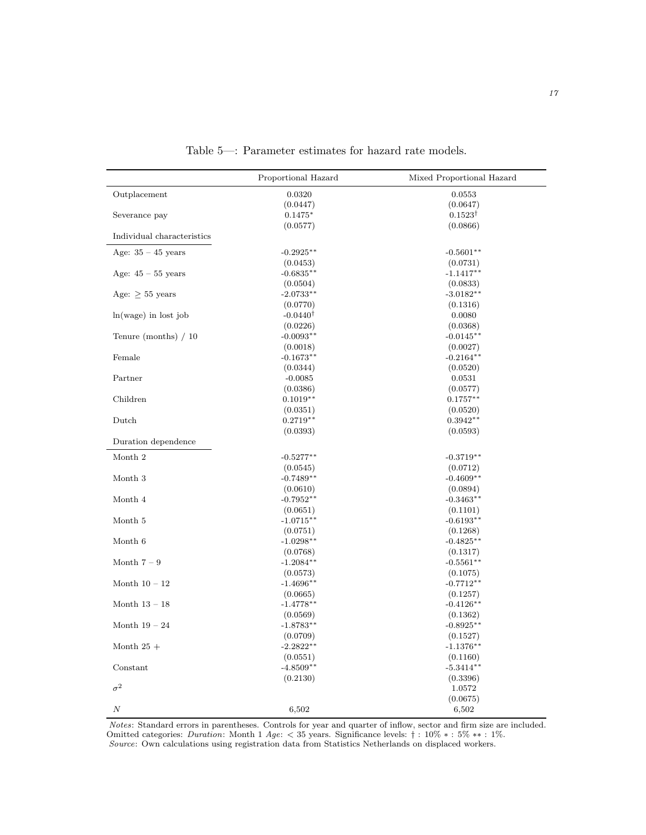<span id="page-16-0"></span>

|                            | Proportional Hazard     | Mixed Proportional Hazard |
|----------------------------|-------------------------|---------------------------|
| Outplacement               | 0.0320                  | 0.0553                    |
|                            | (0.0447)                | (0.0647)                  |
| Severance pay              | $0.1475*$               | $0.1523^{\dagger}$        |
|                            | (0.0577)                | (0.0866)                  |
| Individual characteristics |                         |                           |
| Age: $35 - 45$ years       | $-0.2925**$             | $-0.5601**$               |
|                            | (0.0453)                | (0.0731)                  |
| Age: $45 - 55$ years       | $-0.6835**$             | $-1.1417**$               |
|                            | (0.0504)                | (0.0833)                  |
| Age: $> 55$ years          | $-2.0733**$             | $-3.0182**$               |
|                            | (0.0770)                | (0.1316)                  |
| $ln(wage)$ in lost job     | $-0.0440^{\dagger}$     | 0.0080                    |
|                            | (0.0226)                | (0.0368)                  |
| Tenure (months) $/10$      | $-0.0093**$             | $-0.0145**$               |
|                            | (0.0018)                | (0.0027)                  |
| Female                     | $-0.1673**$             | $-0.2164**$               |
|                            | (0.0344)                | (0.0520)                  |
| Partner                    | $-0.0085$               | 0.0531                    |
|                            | (0.0386)                | (0.0577)                  |
| Children                   | $0.1019**$              | $0.1757**$                |
|                            | (0.0351)                | (0.0520)                  |
| Dutch                      | $0.2719**$              | $0.3942**$                |
| Duration dependence        | (0.0393)                | (0.0593)                  |
|                            |                         |                           |
| Month 2                    | $-0.5277**$             | $-0.3719**$               |
|                            | (0.0545)                | (0.0712)                  |
| Month 3                    | $-0.7489**$             | $-0.4609**$               |
|                            | (0.0610)                | (0.0894)                  |
| Month 4                    | $-0.7952**$             | $-0.3463**$               |
|                            | (0.0651)                | (0.1101)                  |
| Month 5                    | $-1.0715**$             | $-0.6193**$               |
|                            | (0.0751)                | (0.1268)                  |
| Month 6                    | $-1.0298**$             | $-0.4825**$               |
| Month $7-9$                | (0.0768)<br>$-1.2084**$ | (0.1317)<br>$-0.5561**$   |
|                            | (0.0573)                | (0.1075)                  |
| Month $10 - 12$            | $-1.4696**$             | $-0.7712**$               |
|                            | (0.0665)                | (0.1257)                  |
| Month $13-18$              | $-1.4778**$             | $-0.4126**$               |
|                            | (0.0569)                | (0.1362)                  |
| Month $19-24$              | $-1.8783**$             | $-0.8925**$               |
|                            | (0.0709)                | (0.1527)                  |
| Month $25+$                | $-2.2822**$             | $-1.1376**$               |
|                            | (0.0551)                | (0.1160)                  |
| Constant                   | $-4.8509**$             | $-5.3414***$              |
|                            | (0.2130)                | (0.3396)                  |
| $\sigma^2$                 |                         | 1.0572                    |
|                            |                         | (0.0675)                  |
| $\cal N$                   | 6,502                   | 6,502                     |

Table 5—: Parameter estimates for hazard rate models.

Notes: Standard errors in parentheses. Controls for year and quarter of inflow, sector and firm size are included. Omitted categories: *Duration*: Month 1 Age:  $<$  35 years. Significance levels: † : 10%  $*$  : 5%  $**$  : 1%. Source: Own calculations using registration data from Statistics Netherlands on displaced workers.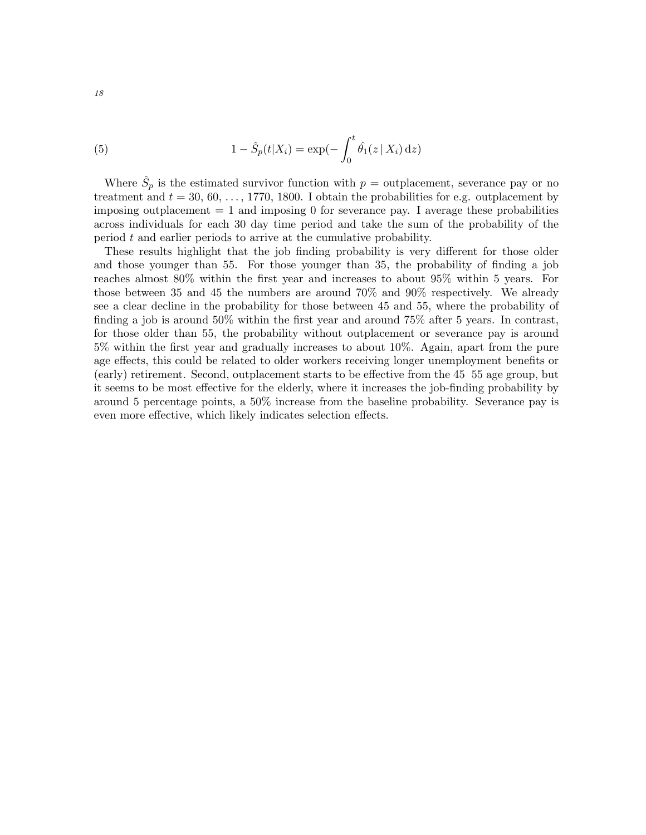(5) 
$$
1 - \hat{S}_p(t|X_i) = \exp(-\int_0^t \hat{\theta}_1(z|X_i) dz)
$$

Where  $\hat{S}_p$  is the estimated survivor function with  $p =$  outplacement, severance pay or no treatment and  $t = 30, 60, \ldots, 1770, 1800$ . I obtain the probabilities for e.g. outplacement by imposing outplacement  $= 1$  and imposing 0 for severance pay. I average these probabilities across individuals for each 30 day time period and take the sum of the probability of the period t and earlier periods to arrive at the cumulative probability.

These results highlight that the job finding probability is very different for those older and those younger than 55. For those younger than 35, the probability of finding a job reaches almost 80% within the first year and increases to about 95% within 5 years. For those between 35 and 45 the numbers are around 70% and 90% respectively. We already see a clear decline in the probability for those between 45 and 55, where the probability of finding a job is around 50% within the first year and around 75% after 5 years. In contrast, for those older than 55, the probability without outplacement or severance pay is around 5% within the first year and gradually increases to about 10%. Again, apart from the pure age effects, this could be related to older workers receiving longer unemployment benefits or (early) retirement. Second, outplacement starts to be effective from the 45 55 age group, but it seems to be most effective for the elderly, where it increases the job-finding probability by around 5 percentage points, a 50% increase from the baseline probability. Severance pay is even more effective, which likely indicates selection effects.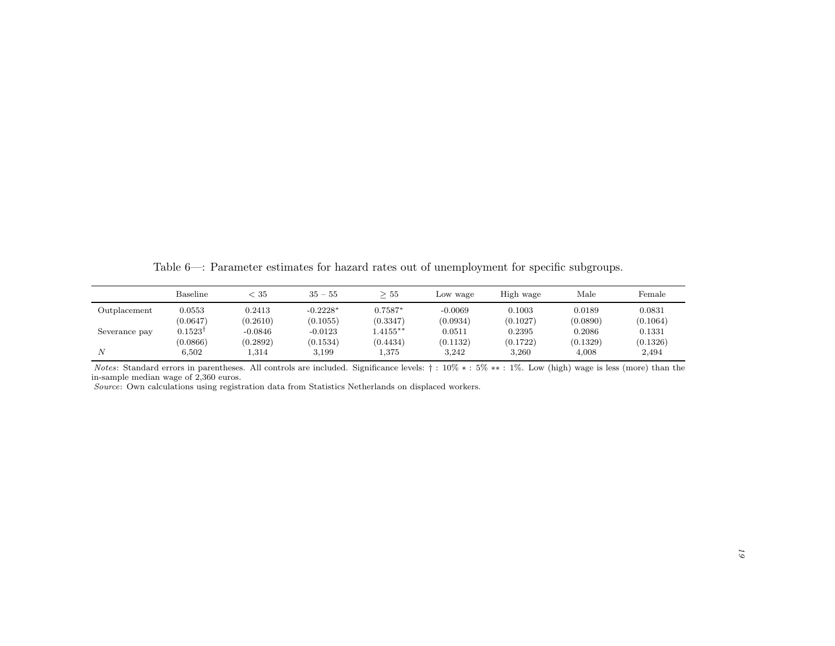Table 6—: Parameter estimates for hazard rates out of unemployment for specific subgroups.

|               | Baseline           | $< 35\,$  | $35 - 55$  | 55         | Low wage  | High wage | Male     | Female   |
|---------------|--------------------|-----------|------------|------------|-----------|-----------|----------|----------|
| Outplacement  | 0.0553             | 0.2413    | $-0.2228*$ | $0.7587*$  | $-0.0069$ | 0.1003    | 0.0189   | 0.0831   |
|               | (0.0647)           | (0.2610)  | (0.1055)   | (0.3347)   | (0.0934)  | (0.1027)  | (0.0890) | (0.1064) |
| Severance pay | $0.1523^{\dagger}$ | $-0.0846$ | $-0.0123$  | $.4155***$ | 0.0511    | 0.2395    | 0.2086   | 0.1331   |
|               | (0.0866)           | (0.2892)  | (0.1534)   | (0.4434)   | (0.1132)  | (0.1722)  | (0.1329) | (0.1326) |
| N             | 6,502              | 1,314     | 3,199      | 1,375      | 3,242     | 3,260     | 4,008    | 2,494    |

Notes: Standard errors in parentheses. All controls are included. Significance levels: † : 10% ∗ : 5% ∗\* : 1%. Low (high) wage is less (more) than the n-cample median wage of 2.360 euros in-sample median wage of 2,360 euros.

<span id="page-18-0"></span>Source: Own calculations using registration data from Statistics Netherlands on displaced workers.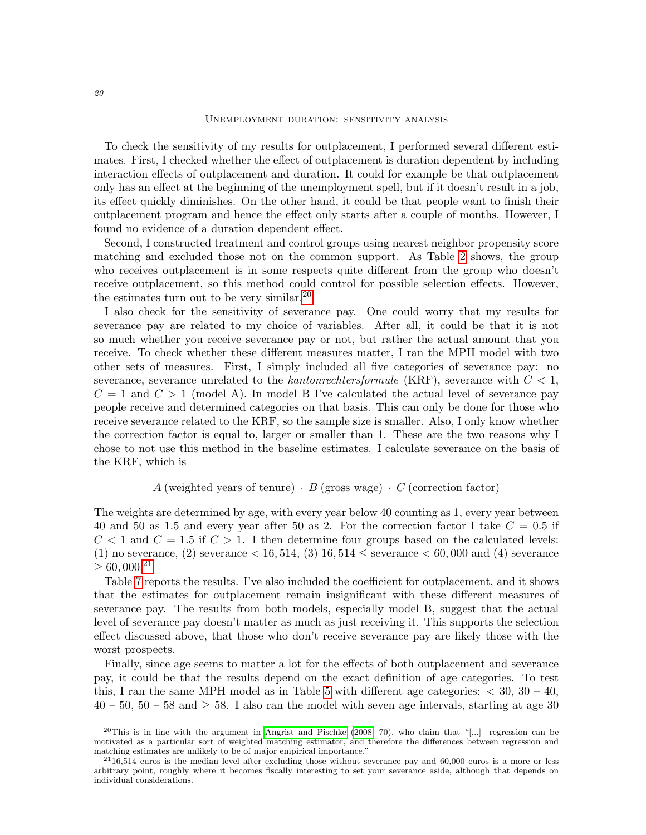#### Unemployment duration: sensitivity analysis

To check the sensitivity of my results for outplacement, I performed several different estimates. First, I checked whether the effect of outplacement is duration dependent by including interaction effects of outplacement and duration. It could for example be that outplacement only has an effect at the beginning of the unemployment spell, but if it doesn't result in a job, its effect quickly diminishes. On the other hand, it could be that people want to finish their outplacement program and hence the effect only starts after a couple of months. However, I found no evidence of a duration dependent effect.

Second, I constructed treatment and control groups using nearest neighbor propensity score matching and excluded those not on the common support. As Table [2](#page-8-0) shows, the group who receives outplacement is in some respects quite different from the group who doesn't receive outplacement, so this method could control for possible selection effects. However, the estimates turn out to be very similar.<sup>[20](#page-19-0)</sup>

I also check for the sensitivity of severance pay. One could worry that my results for severance pay are related to my choice of variables. After all, it could be that it is not so much whether you receive severance pay or not, but rather the actual amount that you receive. To check whether these different measures matter, I ran the MPH model with two other sets of measures. First, I simply included all five categories of severance pay: no severance, severance unrelated to the kantonrechtersformule (KRF), severance with  $C < 1$ ,  $C = 1$  and  $C > 1$  (model A). In model B I've calculated the actual level of severance pay people receive and determined categories on that basis. This can only be done for those who receive severance related to the KRF, so the sample size is smaller. Also, I only know whether the correction factor is equal to, larger or smaller than 1. These are the two reasons why I chose to not use this method in the baseline estimates. I calculate severance on the basis of the KRF, which is

# A (weighted years of tenure)  $\cdot$  B (gross wage)  $\cdot$  C (correction factor)

The weights are determined by age, with every year below 40 counting as 1, every year between 40 and 50 as 1.5 and every year after 50 as 2. For the correction factor I take  $C = 0.5$  if  $C < 1$  and  $C = 1.5$  if  $C > 1$ . I then determine four groups based on the calculated levels: (1) no severance, (2) severance  $< 16, 514, 3$  16,  $514 \le$  severance  $< 60, 000$  and (4) severance  $> 60,000.^{21}$  $> 60,000.^{21}$  $> 60,000.^{21}$ 

Table [7](#page-21-0) reports the results. I've also included the coefficient for outplacement, and it shows that the estimates for outplacement remain insignificant with these different measures of severance pay. The results from both models, especially model B, suggest that the actual level of severance pay doesn't matter as much as just receiving it. This supports the selection effect discussed above, that those who don't receive severance pay are likely those with the worst prospects.

Finally, since age seems to matter a lot for the effects of both outplacement and severance pay, it could be that the results depend on the exact definition of age categories. To test this, I ran the same MPH model as in Table [5](#page-16-0) with different age categories:  $\langle 30, 30, 40, 40 \rangle$  $40 - 50$ ,  $50 - 58$  and  $\geq 58$ . I also ran the model with seven age intervals, starting at age 30

<span id="page-19-0"></span><sup>&</sup>lt;sup>20</sup>This is in line with the argument in [Angrist and Pischke](#page-27-6) [\(2008,](#page-27-6) 70), who claim that "[...] regression can be motivated as a particular sort of weighted matching estimator, and therefore the differences between regression and matching estimates are unlikely to be of major empirical importance."

<span id="page-19-1"></span> $^{21}16,514$  euros is the median level after excluding those without severance pay and 60,000 euros is a more or less arbitrary point, roughly where it becomes fiscally interesting to set your severance aside, although that depends on individual considerations.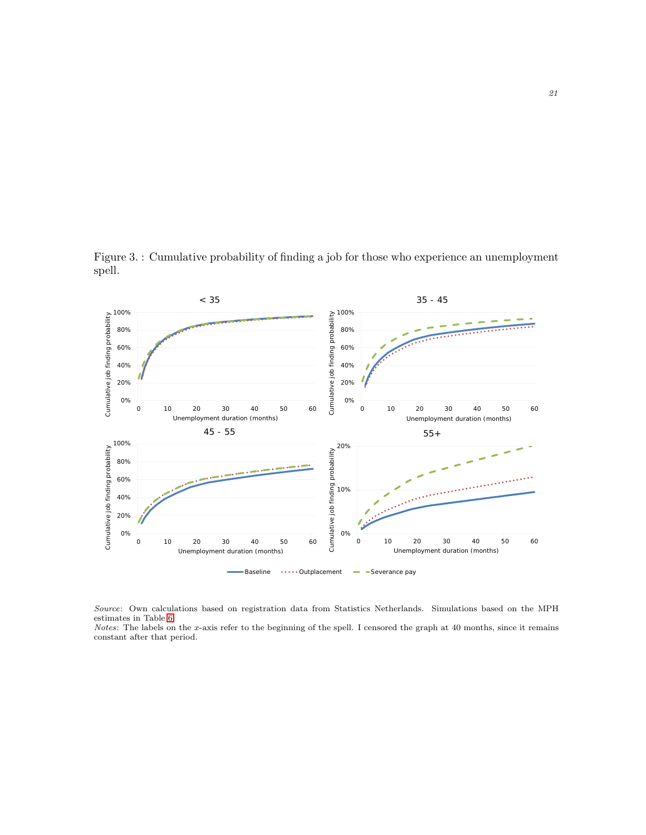Figure 3. : Cumulative probability of finding a job for those who experience an unemployment spell.

<span id="page-20-0"></span>

Source: Own calculations based on registration data from Statistics Netherlands. Simulations based on the MPH estimates in Table [6.](#page-18-0)

Notes: The labels on the x-axis refer to the beginning of the spell. I censored the graph at 40 months, since it remains constant after that period.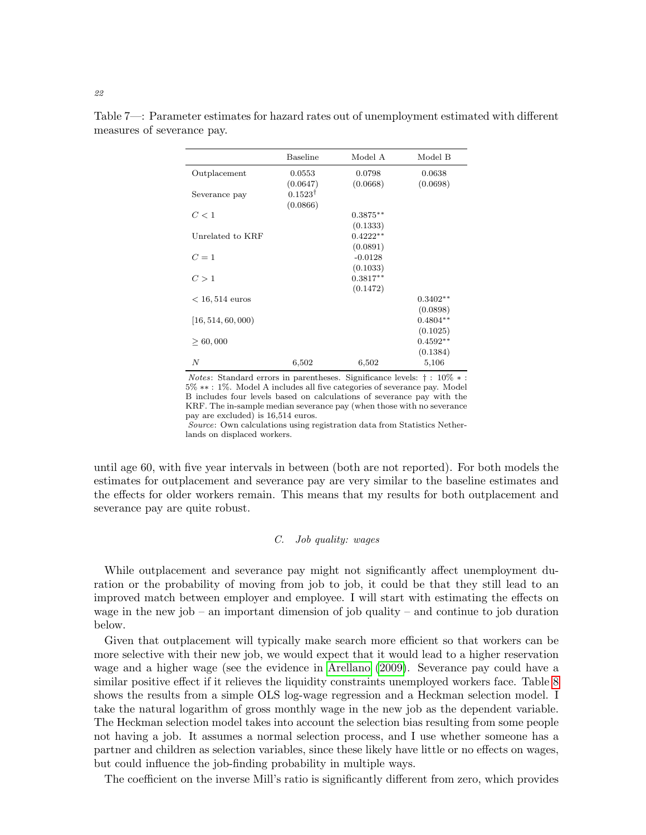|                    | <b>Baseline</b>    | Model A    | Model B    |
|--------------------|--------------------|------------|------------|
| Outplacement       | 0.0553             | 0.0798     | 0.0638     |
|                    | (0.0647)           | (0.0668)   | (0.0698)   |
| Severance pay      | $0.1523^{\dagger}$ |            |            |
|                    | (0.0866)           |            |            |
| C<1                |                    | $0.3875**$ |            |
|                    |                    | (0.1333)   |            |
| Unrelated to KRF   |                    | $0.4222**$ |            |
|                    |                    | (0.0891)   |            |
| $C=1$              |                    | $-0.0128$  |            |
|                    |                    | (0.1033)   |            |
| C>1                |                    | $0.3817**$ |            |
|                    |                    | (0.1472)   |            |
| $< 16, 514$ euros  |                    |            | $0.3402**$ |
|                    |                    |            | (0.0898)   |
| [16, 514, 60, 000] |                    |            | $0.4804**$ |
|                    |                    |            | (0.1025)   |
| > 60,000           |                    |            | $0.4592**$ |
|                    |                    |            | (0.1384)   |
| N                  | 6,502              | 6,502      | 5,106      |

<span id="page-21-0"></span>Table 7—: Parameter estimates for hazard rates out of unemployment estimated with different measures of severance pay.

Notes: Standard errors in parentheses. Significance levels: † : 10% ∗ : 5% ∗∗ : 1%. Model A includes all five categories of severance pay. Model B includes four levels based on calculations of severance pay with the KRF. The in-sample median severance pay (when those with no severance pay are excluded) is 16,514 euros.

Source: Own calculations using registration data from Statistics Netherlands on displaced workers.

until age 60, with five year intervals in between (both are not reported). For both models the estimates for outplacement and severance pay are very similar to the baseline estimates and the effects for older workers remain. This means that my results for both outplacement and severance pay are quite robust.

# C. Job quality: wages

While outplacement and severance pay might not significantly affect unemployment duration or the probability of moving from job to job, it could be that they still lead to an improved match between employer and employee. I will start with estimating the effects on wage in the new job – an important dimension of job quality – and continue to job duration below.

Given that outplacement will typically make search more efficient so that workers can be more selective with their new job, we would expect that it would lead to a higher reservation wage and a higher wage (see the evidence in [Arellano](#page-27-1) [\(2009\)](#page-27-1). Severance pay could have a similar positive effect if it relieves the liquidity constraints unemployed workers face. Table [8](#page-23-0) shows the results from a simple OLS log-wage regression and a Heckman selection model. I take the natural logarithm of gross monthly wage in the new job as the dependent variable. The Heckman selection model takes into account the selection bias resulting from some people not having a job. It assumes a normal selection process, and I use whether someone has a partner and children as selection variables, since these likely have little or no effects on wages, but could influence the job-finding probability in multiple ways.

The coefficient on the inverse Mill's ratio is significantly different from zero, which provides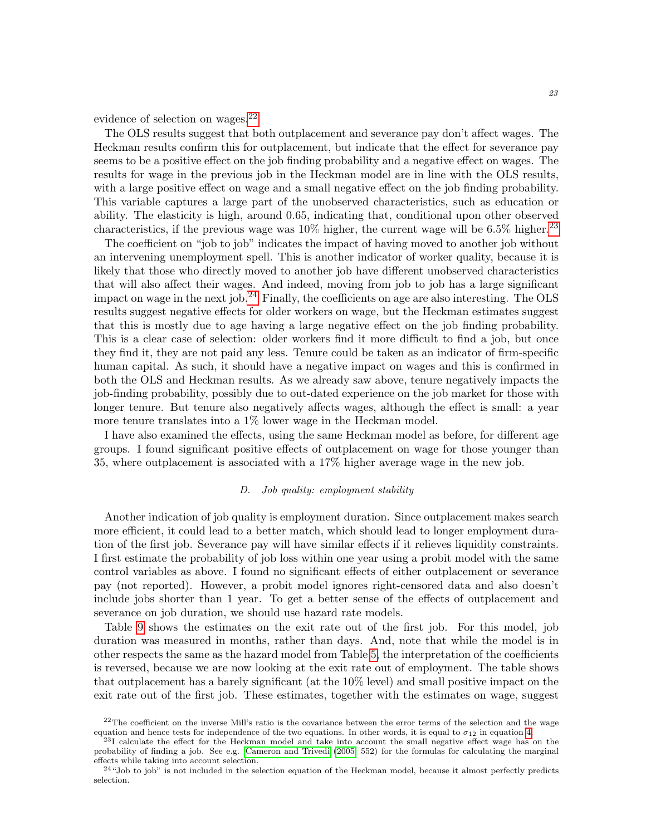evidence of selection on wages.<sup>[22](#page-22-0)</sup>

The OLS results suggest that both outplacement and severance pay don't affect wages. The Heckman results confirm this for outplacement, but indicate that the effect for severance pay seems to be a positive effect on the job finding probability and a negative effect on wages. The results for wage in the previous job in the Heckman model are in line with the OLS results, with a large positive effect on wage and a small negative effect on the job finding probability. This variable captures a large part of the unobserved characteristics, such as education or ability. The elasticity is high, around 0.65, indicating that, conditional upon other observed characteristics, if the previous wage was  $10\%$  higher, the current wage will be 6.5% higher.<sup>[23](#page-22-1)</sup>

The coefficient on "job to job" indicates the impact of having moved to another job without an intervening unemployment spell. This is another indicator of worker quality, because it is likely that those who directly moved to another job have different unobserved characteristics that will also affect their wages. And indeed, moving from job to job has a large significant impact on wage in the next job.[24](#page-22-2) Finally, the coefficients on age are also interesting. The OLS results suggest negative effects for older workers on wage, but the Heckman estimates suggest that this is mostly due to age having a large negative effect on the job finding probability. This is a clear case of selection: older workers find it more difficult to find a job, but once they find it, they are not paid any less. Tenure could be taken as an indicator of firm-specific human capital. As such, it should have a negative impact on wages and this is confirmed in both the OLS and Heckman results. As we already saw above, tenure negatively impacts the job-finding probability, possibly due to out-dated experience on the job market for those with longer tenure. But tenure also negatively affects wages, although the effect is small: a year more tenure translates into a 1% lower wage in the Heckman model.

I have also examined the effects, using the same Heckman model as before, for different age groups. I found significant positive effects of outplacement on wage for those younger than 35, where outplacement is associated with a 17% higher average wage in the new job.

## D. Job quality: employment stability

Another indication of job quality is employment duration. Since outplacement makes search more efficient, it could lead to a better match, which should lead to longer employment duration of the first job. Severance pay will have similar effects if it relieves liquidity constraints. I first estimate the probability of job loss within one year using a probit model with the same control variables as above. I found no significant effects of either outplacement or severance pay (not reported). However, a probit model ignores right-censored data and also doesn't include jobs shorter than 1 year. To get a better sense of the effects of outplacement and severance on job duration, we should use hazard rate models.

Table [9](#page-25-0) shows the estimates on the exit rate out of the first job. For this model, job duration was measured in months, rather than days. And, note that while the model is in other respects the same as the hazard model from Table [5,](#page-16-0) the interpretation of the coefficients is reversed, because we are now looking at the exit rate out of employment. The table shows that outplacement has a barely significant (at the 10% level) and small positive impact on the exit rate out of the first job. These estimates, together with the estimates on wage, suggest

<span id="page-22-0"></span> $22$ The coefficient on the inverse Mill's ratio is the covariance between the error terms of the selection and the wage equation and hence tests for independence of the two equations. In other words, it is equal to  $\sigma_{12}$  in equation [4.](#page-11-1)

<span id="page-22-1"></span><sup>23</sup>I calculate the effect for the Heckman model and take into account the small negative effect wage has on the probability of finding a job. See e.g. [Cameron and Trivedi](#page-27-7) [\(2005,](#page-27-7) 552) for the formulas for calculating the marginal effects while taking into account selection.

<span id="page-22-2"></span> $^{24}$ "Job to job" is not included in the selection equation of the Heckman model, because it almost perfectly predicts selection.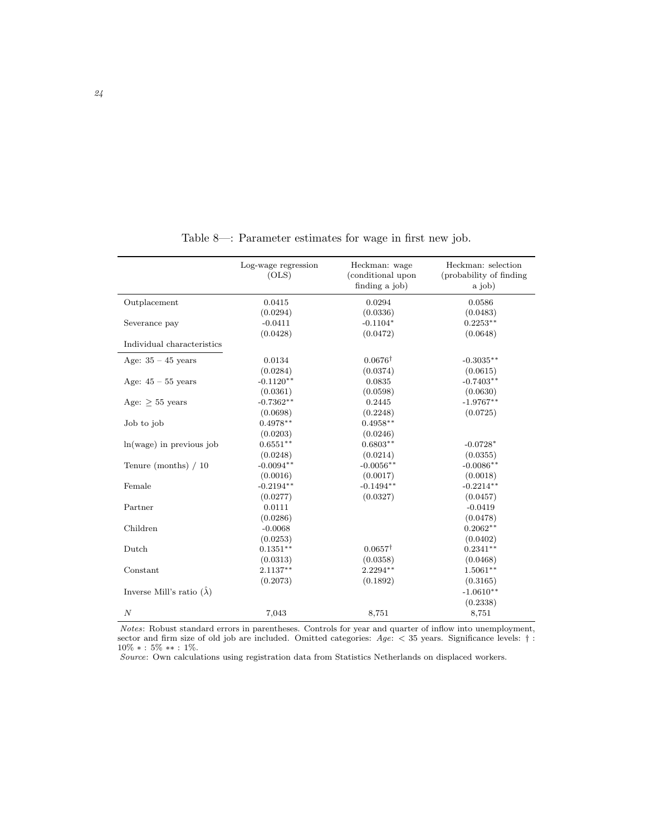<span id="page-23-0"></span>

|                                  | Log-wage regression<br>(OLS) | Heckman: wage<br>(conditional upon<br>finding a job) | Heckman: selection<br>(probability of finding<br>a job) |
|----------------------------------|------------------------------|------------------------------------------------------|---------------------------------------------------------|
| Outplacement                     | 0.0415                       | 0.0294                                               | 0.0586                                                  |
|                                  | (0.0294)                     | (0.0336)                                             | (0.0483)                                                |
| Severance pay                    | $-0.0411$                    | $-0.1104*$                                           | $0.2253**$                                              |
|                                  | (0.0428)                     | (0.0472)                                             | (0.0648)                                                |
| Individual characteristics       |                              |                                                      |                                                         |
| Age: $35 - 45$ years             | 0.0134                       | $0.0676^{\dagger}$                                   | $-0.3035**$                                             |
|                                  | (0.0284)                     | (0.0374)                                             | (0.0615)                                                |
| Age: $45 - 55$ years             | $-0.1120**$                  | 0.0835                                               | $-0.7403**$                                             |
|                                  | (0.0361)                     | (0.0598)                                             | (0.0630)                                                |
| Age: $\geq$ 55 years             | $-0.7362**$                  | 0.2445                                               | $-1.9767**$                                             |
|                                  | (0.0698)                     | (0.2248)                                             | (0.0725)                                                |
| Job to job                       | $0.4978**$                   | $0.4958**$                                           |                                                         |
|                                  | (0.0203)                     | (0.0246)                                             |                                                         |
| $ln(wage)$ in previous job       | $0.6551**$                   | $0.6803**$                                           | $-0.0728*$                                              |
|                                  | (0.0248)                     | (0.0214)                                             | (0.0355)                                                |
| Tenure (months) $/10$            | $-0.0094**$                  | $-0.0056**$                                          | $-0.0086**$                                             |
|                                  | (0.0016)                     | (0.0017)                                             | (0.0018)                                                |
| Female                           | $-0.2194**$                  | $-0.1494**$                                          | $-0.2214**$                                             |
|                                  | (0.0277)                     | (0.0327)                                             | (0.0457)                                                |
| Partner                          | 0.0111                       |                                                      | $-0.0419$                                               |
|                                  | (0.0286)                     |                                                      | (0.0478)                                                |
| Children                         | $-0.0068$                    |                                                      | $0.2062**$                                              |
|                                  | (0.0253)                     |                                                      | (0.0402)                                                |
| Dutch                            | $0.1351**$                   | $0.0657^{\dagger}$                                   | $0.2341**$                                              |
|                                  | (0.0313)                     | (0.0358)                                             | (0.0468)                                                |
| Constant                         | $2.1137**$                   | $2.2294**$                                           | $1.5061**$                                              |
|                                  | (0.2073)                     | (0.1892)                                             | (0.3165)                                                |
| Inverse Mill's ratio $(\lambda)$ |                              |                                                      | $-1.0610**$                                             |
|                                  |                              |                                                      | (0.2338)                                                |
| $\cal N$                         | 7,043                        | 8,751                                                | 8,751                                                   |

Table 8—: Parameter estimates for wage in first new job.

Notes: Robust standard errors in parentheses. Controls for year and quarter of inflow into unemployment, sector and firm size of old job are included. Omitted categories:  $Age:$  < 35 years. Significance levels:  $\dagger$ : 10% ∗ : 5% ∗∗ : 1%.

Source: Own calculations using registration data from Statistics Netherlands on displaced workers.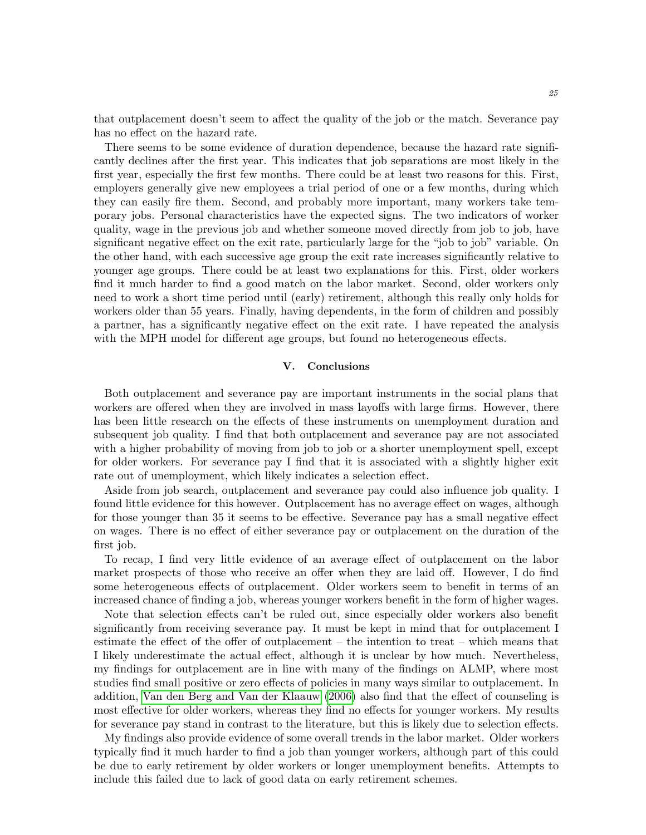that outplacement doesn't seem to affect the quality of the job or the match. Severance pay has no effect on the hazard rate.

There seems to be some evidence of duration dependence, because the hazard rate significantly declines after the first year. This indicates that job separations are most likely in the first year, especially the first few months. There could be at least two reasons for this. First, employers generally give new employees a trial period of one or a few months, during which they can easily fire them. Second, and probably more important, many workers take temporary jobs. Personal characteristics have the expected signs. The two indicators of worker quality, wage in the previous job and whether someone moved directly from job to job, have significant negative effect on the exit rate, particularly large for the "job to job" variable. On the other hand, with each successive age group the exit rate increases significantly relative to younger age groups. There could be at least two explanations for this. First, older workers find it much harder to find a good match on the labor market. Second, older workers only need to work a short time period until (early) retirement, although this really only holds for workers older than 55 years. Finally, having dependents, in the form of children and possibly a partner, has a significantly negative effect on the exit rate. I have repeated the analysis with the MPH model for different age groups, but found no heterogeneous effects.

## V. Conclusions

<span id="page-24-0"></span>Both outplacement and severance pay are important instruments in the social plans that workers are offered when they are involved in mass layoffs with large firms. However, there has been little research on the effects of these instruments on unemployment duration and subsequent job quality. I find that both outplacement and severance pay are not associated with a higher probability of moving from job to job or a shorter unemployment spell, except for older workers. For severance pay I find that it is associated with a slightly higher exit rate out of unemployment, which likely indicates a selection effect.

Aside from job search, outplacement and severance pay could also influence job quality. I found little evidence for this however. Outplacement has no average effect on wages, although for those younger than 35 it seems to be effective. Severance pay has a small negative effect on wages. There is no effect of either severance pay or outplacement on the duration of the first job.

To recap, I find very little evidence of an average effect of outplacement on the labor market prospects of those who receive an offer when they are laid off. However, I do find some heterogeneous effects of outplacement. Older workers seem to benefit in terms of an increased chance of finding a job, whereas younger workers benefit in the form of higher wages.

Note that selection effects can't be ruled out, since especially older workers also benefit significantly from receiving severance pay. It must be kept in mind that for outplacement I estimate the effect of the offer of outplacement – the intention to treat – which means that I likely underestimate the actual effect, although it is unclear by how much. Nevertheless, my findings for outplacement are in line with many of the findings on ALMP, where most studies find small positive or zero effects of policies in many ways similar to outplacement. In addition, [Van den Berg and Van der Klaauw](#page-29-0) [\(2006\)](#page-29-0) also find that the effect of counseling is most effective for older workers, whereas they find no effects for younger workers. My results for severance pay stand in contrast to the literature, but this is likely due to selection effects.

My findings also provide evidence of some overall trends in the labor market. Older workers typically find it much harder to find a job than younger workers, although part of this could be due to early retirement by older workers or longer unemployment benefits. Attempts to include this failed due to lack of good data on early retirement schemes.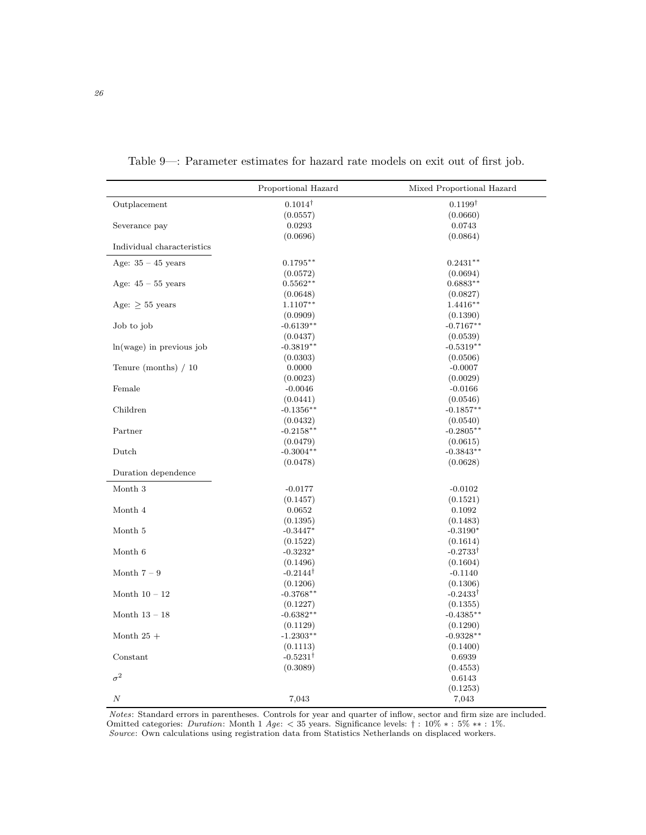<span id="page-25-0"></span>

|                            | Proportional Hazard | Mixed Proportional Hazard |
|----------------------------|---------------------|---------------------------|
| Outplacement               | $0.1014^{\dagger}$  | $0.1199^{\dagger}$        |
|                            | (0.0557)            | (0.0660)                  |
| Severance pay              | 0.0293              | 0.0743                    |
|                            | (0.0696)            | (0.0864)                  |
| Individual characteristics |                     |                           |
| Age: $35 - 45$ years       | $0.1795**$          | $0.2431**$                |
|                            | (0.0572)            | (0.0694)                  |
| Age: $45 - 55$ years       | $0.5562**$          | $0.6883**$                |
|                            | (0.0648)            | (0.0827)                  |
| Age: $\geq$ 55 years       | $1.1107**$          | $1.4416**$                |
|                            | (0.0909)            | (0.1390)                  |
| Job to job                 | $-0.6139**$         | $-0.7167**$               |
|                            | (0.0437)            | (0.0539)                  |
| ln(wage) in previous job   | $-0.3819**$         | $-0.5319**$               |
|                            | (0.0303)            | (0.0506)                  |
| Tenure (months) $/10$      | 0.0000              | $-0.0007$                 |
|                            | (0.0023)            | (0.0029)                  |
| Female                     | $-0.0046$           | $-0.0166$                 |
|                            | (0.0441)            | (0.0546)                  |
| Children                   | $-0.1356**$         | $-0.1857**$               |
|                            | (0.0432)            | (0.0540)                  |
| Partner                    | $-0.2158**$         | $-0.2805**$               |
|                            | (0.0479)            | (0.0615)                  |
| Dutch                      | $-0.3004**$         | $-0.3843**$               |
|                            | (0.0478)            | (0.0628)                  |
| Duration dependence        |                     |                           |
| Month 3                    | $-0.0177$           | $-0.0102$                 |
|                            | (0.1457)            | (0.1521)                  |
| Month 4                    | 0.0652              | 0.1092                    |
|                            | (0.1395)            | (0.1483)                  |
| Month 5                    | $-0.3447*$          | $-0.3190*$                |
|                            | (0.1522)            | (0.1614)                  |
| Month 6                    | $-0.3232*$          | $-0.2733^{\dagger}$       |
|                            | (0.1496)            | (0.1604)                  |
| Month $7-9$                | $-0.2144^{\dagger}$ | $-0.1140$                 |
|                            | (0.1206)            | (0.1306)                  |
| Month $10 - 12$            | $-0.3768**$         | $-0.2433^{\dagger}$       |
|                            | (0.1227)            | (0.1355)                  |
| Month $13 - 18$            | $-0.6382**$         | $-0.4385**$               |
|                            | (0.1129)            | (0.1290)                  |
| Month $25+$                | $-1.2303**$         | $-0.9328**$               |
|                            | (0.1113)            | (0.1400)                  |
| Constant                   | $-0.5231^{\dagger}$ | 0.6939                    |
|                            | (0.3089)            | (0.4553)                  |
| $\sigma^2$                 |                     | 0.6143                    |
|                            |                     | (0.1253)                  |
| $\cal N$                   | 7,043               | 7,043                     |
|                            |                     |                           |

Table 9—: Parameter estimates for hazard rate models on exit out of first job.

Notes: Standard errors in parentheses. Controls for year and quarter of inflow, sector and firm size are included. Omitted categories: *Duration*: Month 1 Age:  $<$  35 years. Significance levels: † : 10%  $*$  : 5%  $**$  : 1%. Source: Own calculations using registration data from Statistics Netherlands on displaced workers.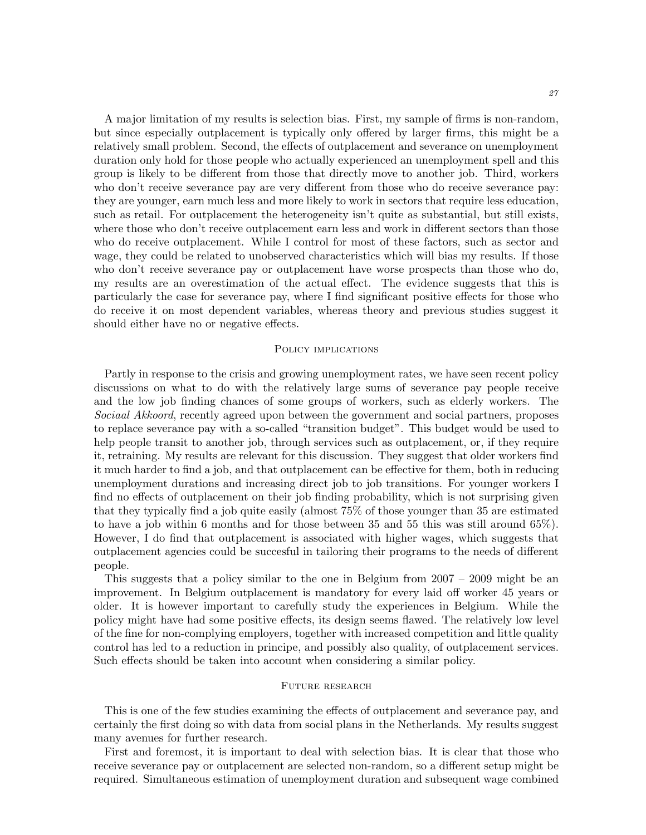A major limitation of my results is selection bias. First, my sample of firms is non-random, but since especially outplacement is typically only offered by larger firms, this might be a relatively small problem. Second, the effects of outplacement and severance on unemployment duration only hold for those people who actually experienced an unemployment spell and this group is likely to be different from those that directly move to another job. Third, workers who don't receive severance pay are very different from those who do receive severance pay: they are younger, earn much less and more likely to work in sectors that require less education, such as retail. For outplacement the heterogeneity isn't quite as substantial, but still exists, where those who don't receive outplacement earn less and work in different sectors than those who do receive outplacement. While I control for most of these factors, such as sector and wage, they could be related to unobserved characteristics which will bias my results. If those who don't receive severance pay or outplacement have worse prospects than those who do, my results are an overestimation of the actual effect. The evidence suggests that this is particularly the case for severance pay, where I find significant positive effects for those who do receive it on most dependent variables, whereas theory and previous studies suggest it should either have no or negative effects.

## POLICY IMPLICATIONS

Partly in response to the crisis and growing unemployment rates, we have seen recent policy discussions on what to do with the relatively large sums of severance pay people receive and the low job finding chances of some groups of workers, such as elderly workers. The Sociaal Akkoord, recently agreed upon between the government and social partners, proposes to replace severance pay with a so-called "transition budget". This budget would be used to help people transit to another job, through services such as outplacement, or, if they require it, retraining. My results are relevant for this discussion. They suggest that older workers find it much harder to find a job, and that outplacement can be effective for them, both in reducing unemployment durations and increasing direct job to job transitions. For younger workers I find no effects of outplacement on their job finding probability, which is not surprising given that they typically find a job quite easily (almost 75% of those younger than 35 are estimated to have a job within 6 months and for those between 35 and 55 this was still around 65%). However, I do find that outplacement is associated with higher wages, which suggests that outplacement agencies could be succesful in tailoring their programs to the needs of different people.

This suggests that a policy similar to the one in Belgium from 2007 – 2009 might be an improvement. In Belgium outplacement is mandatory for every laid off worker 45 years or older. It is however important to carefully study the experiences in Belgium. While the policy might have had some positive effects, its design seems flawed. The relatively low level of the fine for non-complying employers, together with increased competition and little quality control has led to a reduction in principe, and possibly also quality, of outplacement services. Such effects should be taken into account when considering a similar policy.

### Future research

This is one of the few studies examining the effects of outplacement and severance pay, and certainly the first doing so with data from social plans in the Netherlands. My results suggest many avenues for further research.

First and foremost, it is important to deal with selection bias. It is clear that those who receive severance pay or outplacement are selected non-random, so a different setup might be required. Simultaneous estimation of unemployment duration and subsequent wage combined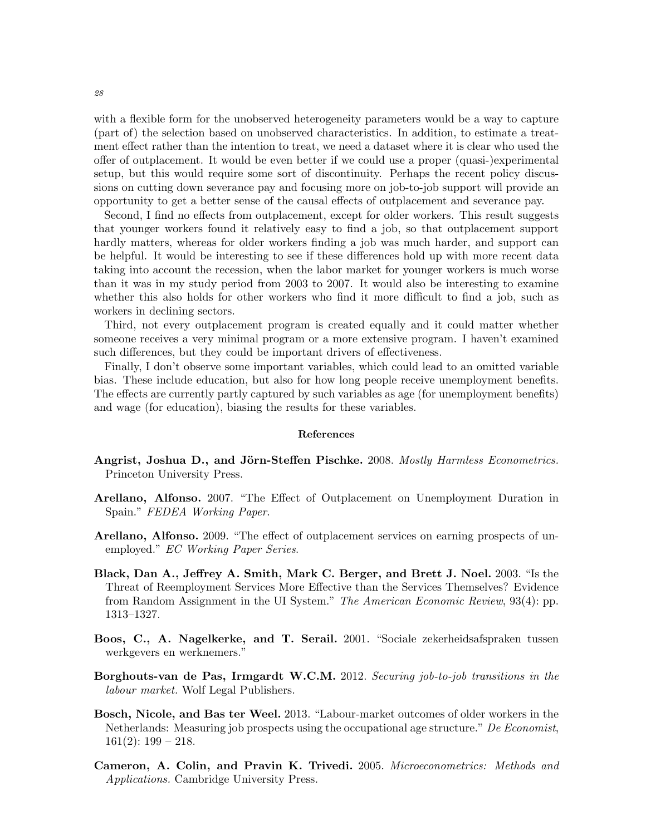with a flexible form for the unobserved heterogeneity parameters would be a way to capture (part of) the selection based on unobserved characteristics. In addition, to estimate a treatment effect rather than the intention to treat, we need a dataset where it is clear who used the offer of outplacement. It would be even better if we could use a proper (quasi-)experimental setup, but this would require some sort of discontinuity. Perhaps the recent policy discussions on cutting down severance pay and focusing more on job-to-job support will provide an opportunity to get a better sense of the causal effects of outplacement and severance pay.

Second, I find no effects from outplacement, except for older workers. This result suggests that younger workers found it relatively easy to find a job, so that outplacement support hardly matters, whereas for older workers finding a job was much harder, and support can be helpful. It would be interesting to see if these differences hold up with more recent data taking into account the recession, when the labor market for younger workers is much worse than it was in my study period from 2003 to 2007. It would also be interesting to examine whether this also holds for other workers who find it more difficult to find a job, such as workers in declining sectors.

Third, not every outplacement program is created equally and it could matter whether someone receives a very minimal program or a more extensive program. I haven't examined such differences, but they could be important drivers of effectiveness.

Finally, I don't observe some important variables, which could lead to an omitted variable bias. These include education, but also for how long people receive unemployment benefits. The effects are currently partly captured by such variables as age (for unemployment benefits) and wage (for education), biasing the results for these variables.

## References

- <span id="page-27-6"></span>Angrist, Joshua D., and Jörn-Steffen Pischke. 2008. Mostly Harmless Econometrics. Princeton University Press.
- <span id="page-27-0"></span>Arellano, Alfonso. 2007. "The Effect of Outplacement on Unemployment Duration in Spain." FEDEA Working Paper.
- <span id="page-27-1"></span>Arellano, Alfonso. 2009. "The effect of outplacement services on earning prospects of unemployed." EC Working Paper Series.
- <span id="page-27-2"></span>Black, Dan A., Jeffrey A. Smith, Mark C. Berger, and Brett J. Noel. 2003. "Is the Threat of Reemployment Services More Effective than the Services Themselves? Evidence from Random Assignment in the UI System." The American Economic Review, 93(4): pp. 1313–1327.
- <span id="page-27-4"></span>Boos, C., A. Nagelkerke, and T. Serail. 2001. "Sociale zekerheidsafspraken tussen werkgevers en werknemers."
- <span id="page-27-3"></span>Borghouts-van de Pas, Irmgardt W.C.M. 2012. Securing job-to-job transitions in the labour market. Wolf Legal Publishers.
- <span id="page-27-5"></span>Bosch, Nicole, and Bas ter Weel. 2013. "Labour-market outcomes of older workers in the Netherlands: Measuring job prospects using the occupational age structure." De Economist,  $161(2): 199 - 218.$
- <span id="page-27-7"></span>Cameron, A. Colin, and Pravin K. Trivedi. 2005. Microeconometrics: Methods and Applications. Cambridge University Press.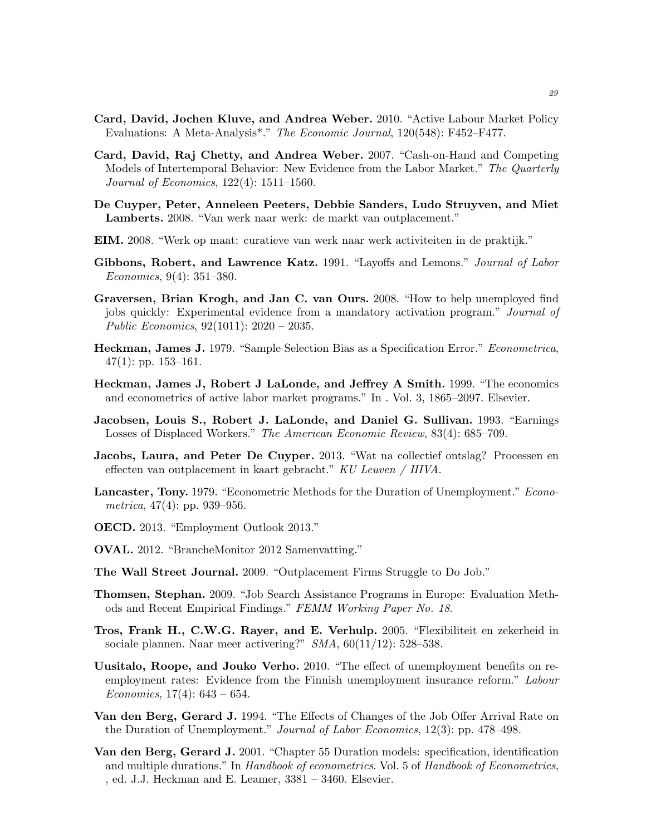- <span id="page-28-3"></span>Card, David, Jochen Kluve, and Andrea Weber. 2010. "Active Labour Market Policy Evaluations: A Meta-Analysis\*." The Economic Journal, 120(548): F452–F477.
- <span id="page-28-2"></span>Card, David, Raj Chetty, and Andrea Weber. 2007. "Cash-on-Hand and Competing Models of Intertemporal Behavior: New Evidence from the Labor Market." The Quarterly Journal of Economics, 122(4): 1511–1560.
- <span id="page-28-7"></span>De Cuyper, Peter, Anneleen Peeters, Debbie Sanders, Ludo Struyven, and Miet Lamberts. 2008. "Van werk naar werk: de markt van outplacement."
- <span id="page-28-12"></span>EIM. 2008. "Werk op maat: curatieve van werk naar werk activiteiten in de praktijk."
- <span id="page-28-11"></span>Gibbons, Robert, and Lawrence Katz. 1991. "Layoffs and Lemons." Journal of Labor Economics, 9(4): 351–380.
- <span id="page-28-6"></span>Graversen, Brian Krogh, and Jan C. van Ours. 2008. "How to help unemployed find jobs quickly: Experimental evidence from a mandatory activation program." Journal of Public Economics, 92(1011): 2020 – 2035.
- <span id="page-28-17"></span>Heckman, James J. 1979. "Sample Selection Bias as a Specification Error." Econometrica,  $47(1)$ : pp. 153-161.
- <span id="page-28-15"></span>Heckman, James J, Robert J LaLonde, and Jeffrey A Smith. 1999. "The economics and econometrics of active labor market programs." In . Vol. 3, 1865–2097. Elsevier.
- <span id="page-28-14"></span>Jacobsen, Louis S., Robert J. LaLonde, and Daniel G. Sullivan. 1993. "Earnings Losses of Displaced Workers." The American Economic Review, 83(4): 685–709.
- <span id="page-28-9"></span>Jacobs, Laura, and Peter De Cuyper. 2013. "Wat na collectief ontslag? Processen en effecten van outplacement in kaart gebracht." KU Leuven / HIVA.
- <span id="page-28-18"></span>Lancaster, Tony. 1979. "Econometric Methods for the Duration of Unemployment." Econometrica,  $47(4)$ : pp. 939–956.
- <span id="page-28-0"></span>OECD. 2013. "Employment Outlook 2013."
- <span id="page-28-8"></span>OVAL. 2012. "BrancheMonitor 2012 Samenvatting."
- <span id="page-28-10"></span>The Wall Street Journal. 2009. "Outplacement Firms Struggle to Do Job."
- <span id="page-28-4"></span>Thomsen, Stephan. 2009. "Job Search Assistance Programs in Europe: Evaluation Methods and Recent Empirical Findings." FEMM Working Paper No. 18.
- <span id="page-28-13"></span>Tros, Frank H., C.W.G. Rayer, and E. Verhulp. 2005. "Flexibiliteit en zekerheid in sociale plannen. Naar meer activering?" SMA, 60(11/12): 528–538.
- <span id="page-28-5"></span>Uusitalo, Roope, and Jouko Verho. 2010. "The effect of unemployment benefits on reemployment rates: Evidence from the Finnish unemployment insurance reform." Labour Economics,  $17(4)$ :  $643 - 654$ .
- <span id="page-28-1"></span>Van den Berg, Gerard J. 1994. "The Effects of Changes of the Job Offer Arrival Rate on the Duration of Unemployment." Journal of Labor Economics, 12(3): pp. 478–498.
- <span id="page-28-16"></span>Van den Berg, Gerard J. 2001. "Chapter 55 Duration models: specification, identification and multiple durations." In Handbook of econometrics. Vol. 5 of Handbook of Econometrics, , ed. J.J. Heckman and E. Leamer, 3381 – 3460. Elsevier.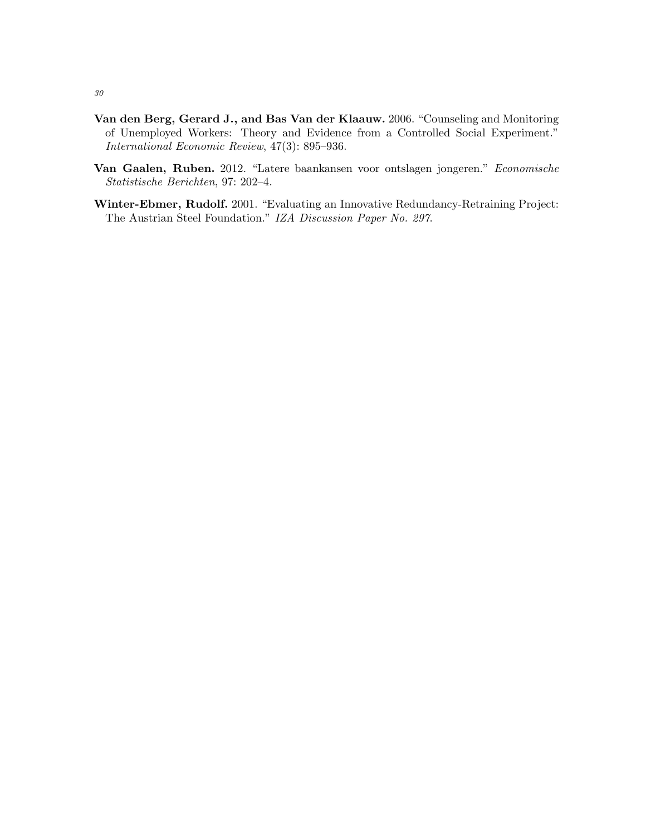- <span id="page-29-0"></span>Van den Berg, Gerard J., and Bas Van der Klaauw. 2006. "Counseling and Monitoring of Unemployed Workers: Theory and Evidence from a Controlled Social Experiment." International Economic Review, 47(3): 895–936.
- <span id="page-29-2"></span>Van Gaalen, Ruben. 2012. "Latere baankansen voor ontslagen jongeren." Economische Statistische Berichten, 97: 202–4.
- <span id="page-29-1"></span>Winter-Ebmer, Rudolf. 2001. "Evaluating an Innovative Redundancy-Retraining Project: The Austrian Steel Foundation." IZA Discussion Paper No. 297.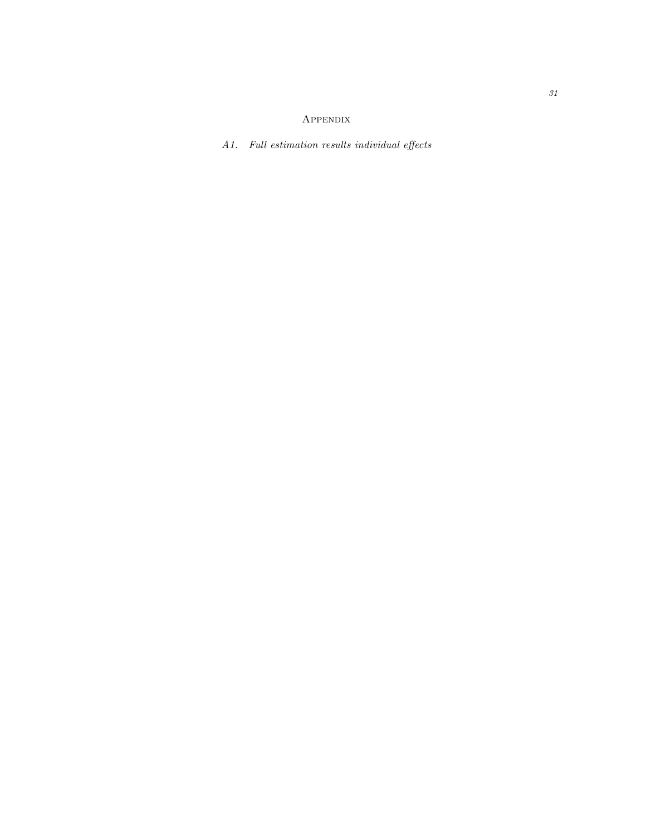# Appendix

<span id="page-30-0"></span>A1. Full estimation results individual effects